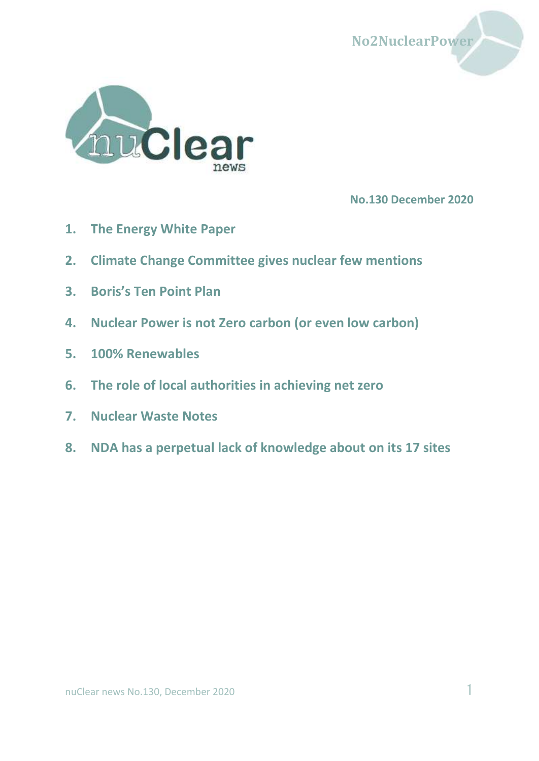



**No.130 December 2020**

- **1. [The Energy White Paper](#page-1-0)**
- **2. [Climate Change Committee gives nuclear few mentions](#page-11-0)**
- **3. [Boris's Ten Point Plan](#page-14-0)**
- **4. [Nuclear Power is not Zero carbon \(or even low carbon\)](#page-18-0)**
- **5. [100% Renewables](#page-22-0)**
- **6. [The role of local authorities in achieving net zero](#page-24-0)**
- **7. [Nuclear Waste](#page-25-0) Notes**
- **8. NDA [has a perpetual lack of knowledge about on its](#page-28-0) 17 sites**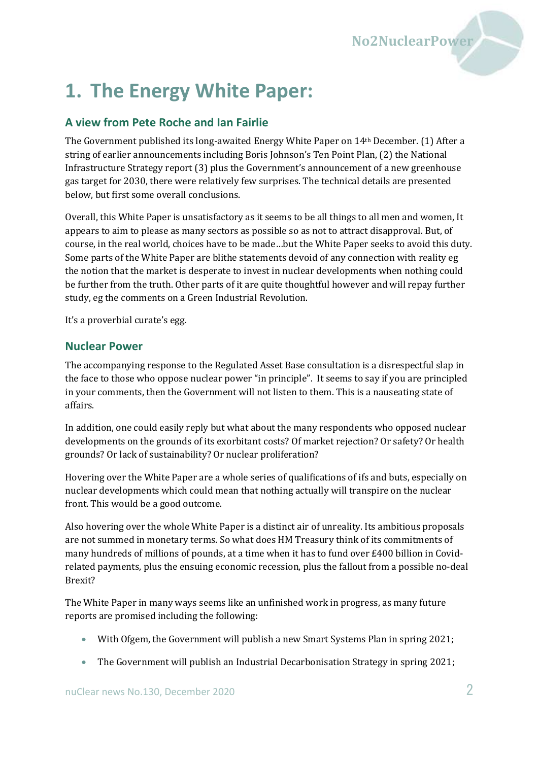

# <span id="page-1-0"></span>**1. The Energy White Paper:**

#### **A view from Pete Roche and Ian Fairlie**

The Government published its long-awaited Energy White Paper on 14th December. (1) After a string of earlier announcements including Boris Johnson's Ten Point Plan, (2) the National Infrastructure Strategy report (3) plus the Government's announcement of a new greenhouse gas target for 2030, there were relatively few surprises. The technical details are presented below, but first some overall conclusions.

Overall, this White Paper is unsatisfactory as it seems to be all things to all men and women, It appears to aim to please as many sectors as possible so as not to attract disapproval. But, of course, in the real world, choices have to be made…but the White Paper seeks to avoid this duty. Some parts of the White Paper are blithe statements devoid of any connection with reality eg the notion that the market is desperate to invest in nuclear developments when nothing could be further from the truth. Other parts of it are quite thoughtful however and will repay further study, eg the comments on a Green Industrial Revolution.

It's a proverbial curate's egg.

#### **Nuclear Power**

The accompanying response to the Regulated Asset Base consultation is a disrespectful slap in the face to those who oppose nuclear power "in principle". It seems to say if you are principled in your comments, then the Government will not listen to them. This is a nauseating state of affairs.

In addition, one could easily reply but what about the many respondents who opposed nuclear developments on the grounds of its exorbitant costs? Of market rejection? Or safety? Or health grounds? Or lack of sustainability? Or nuclear proliferation?

Hovering over the White Paper are a whole series of qualifications of ifs and buts, especially on nuclear developments which could mean that nothing actually will transpire on the nuclear front. This would be a good outcome.

Also hovering over the whole White Paper is a distinct air of unreality. Its ambitious proposals are not summed in monetary terms. So what does HM Treasury think of its commitments of many hundreds of millions of pounds, at a time when it has to fund over £400 billion in Covidrelated payments, plus the ensuing economic recession, plus the fallout from a possible no-deal Brexit?

The White Paper in many ways seems like an unfinished work in progress, as many future reports are promised including the following:

- With Ofgem, the Government will publish a new Smart Systems Plan in spring 2021;
- The Government will publish an Industrial Decarbonisation Strategy in spring 2021;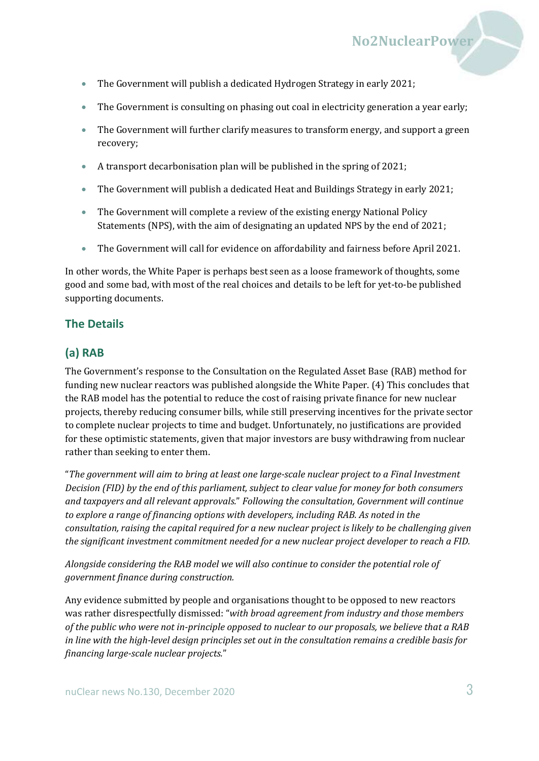- The Government will publish a dedicated Hydrogen Strategy in early 2021;
- The Government is consulting on phasing out coal in electricity generation a year early;

- The Government will further clarify measures to transform energy, and support a green recovery;
- A transport decarbonisation plan will be published in the spring of 2021;
- The Government will publish a dedicated Heat and Buildings Strategy in early 2021;
- The Government will complete a review of the existing energy National Policy Statements (NPS), with the aim of designating an updated NPS by the end of 2021;
- The Government will call for evidence on affordability and fairness before April 2021.

In other words, the White Paper is perhaps best seen as a loose framework of thoughts, some good and some bad, with most of the real choices and details to be left for yet-to-be published supporting documents.

#### **The Details**

#### **(a) RAB**

The Government's response to the Consultation on the Regulated Asset Base (RAB) method for funding new nuclear reactors was published alongside the White Paper. (4) This concludes that the RAB model has the potential to reduce the cost of raising private finance for new nuclear projects, thereby reducing consumer bills, while still preserving incentives for the private sector to complete nuclear projects to time and budget. Unfortunately, no justifications are provided for these optimistic statements, given that major investors are busy withdrawing from nuclear rather than seeking to enter them.

"*The government will aim to bring at least one large-scale nuclear project to a Final Investment Decision (FID) by the end of this parliament, subject to clear value for money for both consumers and taxpayers and all relevant approvals.*" *Following the consultation, Government will continue to explore a range of financing options with developers, including RAB. As noted in the consultation, raising the capital required for a new nuclear project is likely to be challenging given the significant investment commitment needed for a new nuclear project developer to reach a FID.* 

*Alongside considering the RAB model we will also continue to consider the potential role of government finance during construction.*

Any evidence submitted by people and organisations thought to be opposed to new reactors was rather disrespectfully dismissed: "*with broad agreement from industry and those members of the public who were not in-principle opposed to nuclear to our proposals, we believe that a RAB in line with the high-level design principles set out in the consultation remains a credible basis for financing large-scale nuclear projects.*"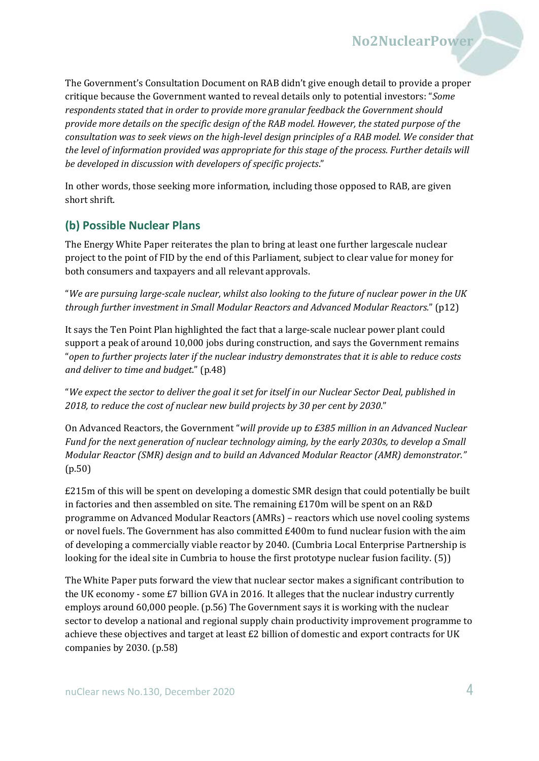The Government's Consultation Document on RAB didn't give enough detail to provide a proper critique because the Government wanted to reveal details only to potential investors: "*Some respondents stated that in order to provide more granular feedback the Government should provide more details on the specific design of the RAB model. However, the stated purpose of the consultation was to seek views on the high-level design principles of a RAB model. We consider that the level of information provided was appropriate for this stage of the process. Further details will be developed in discussion with developers of specific projects*."

In other words, those seeking more information, including those opposed to RAB, are given short shrift.

#### **(b) Possible Nuclear Plans**

The Energy White Paper reiterates the plan to bring at least one further largescale nuclear project to the point of FID by the end of this Parliament, subject to clear value for money for both consumers and taxpayers and all relevant approvals.

"*We are pursuing large-scale nuclear, whilst also looking to the future of nuclear power in the UK through further investment in Small Modular Reactors and Advanced Modular Reactors.*" (p12)

It says the Ten Point Plan highlighted the fact that a large-scale nuclear power plant could support a peak of around 10,000 jobs during construction, and says the Government remains "*open to further projects later if the nuclear industry demonstrates that it is able to reduce costs and deliver to time and budget*." (p.48)

"*We expect the sector to deliver the goal it set for itself in our Nuclear Sector Deal, published in 2018, to reduce the cost of nuclear new build projects by 30 per cent by 2030*."

On Advanced Reactors, the Government "*will provide up to £385 million in an Advanced Nuclear Fund for the next generation of nuclear technology aiming, by the early 2030s, to develop a Small Modular Reactor (SMR) design and to build an Advanced Modular Reactor (AMR) demonstrator."*  (p.50)

£215m of this will be spent on developing a domestic SMR design that could potentially be built in factories and then assembled on site. The remaining £170m will be spent on an R&D programme on Advanced Modular Reactors (AMRs) – reactors which use novel cooling systems or novel fuels. The Government has also committed £400m to fund nuclear fusion with the aim of developing a commercially viable reactor by 2040. (Cumbria Local Enterprise Partnership is looking for the ideal site in Cumbria to house the first prototype nuclear fusion facility. (5))

The White Paper puts forward the view that nuclear sector makes a significant contribution to the UK economy - some £7 billion GVA in 2016. It alleges that the nuclear industry currently employs around 60,000 people. (p.56) The Government says it is working with the nuclear sector to develop a national and regional supply chain productivity improvement programme to achieve these objectives and target at least £2 billion of domestic and export contracts for UK companies by 2030. (p.58)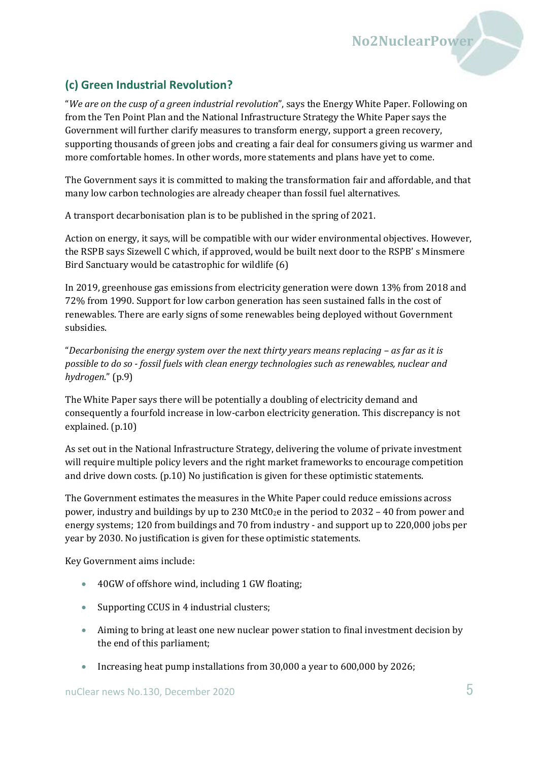#### **(c) Green Industrial Revolution?**

"*We are on the cusp of a green industrial revolution*", says the Energy White Paper. Following on from the Ten Point Plan and the National Infrastructure Strategy the White Paper says the Government will further clarify measures to transform energy, support a green recovery, supporting thousands of green jobs and creating a fair deal for consumers giving us warmer and more comfortable homes. In other words, more statements and plans have yet to come.

**No2NuclearPower**

The Government says it is committed to making the transformation fair and affordable, and that many low carbon technologies are already cheaper than fossil fuel alternatives.

A transport decarbonisation plan is to be published in the spring of 2021.

Action on energy, it says, will be compatible with our wider environmental objectives. However, the RSPB says Sizewell C which, if approved, would be built next door to the RSPB' s Minsmere Bird Sanctuary would be catastrophic for wildlife (6)

In 2019, greenhouse gas emissions from electricity generation were down 13% from 2018 and 72% from 1990. Support for low carbon generation has seen sustained falls in the cost of renewables. There are early signs of some renewables being deployed without Government subsidies.

"Decarbonising the energy system over the next thirty years means replacing – as far as it is *possible to do so - fossil fuels with clean energy technologies such as renewables, nuclear and hydrogen*." (p.9)

The White Paper says there will be potentially a doubling of electricity demand and consequently a fourfold increase in low-carbon electricity generation. This discrepancy is not explained. (p.10)

As set out in the National Infrastructure Strategy, delivering the volume of private investment will require multiple policy levers and the right market frameworks to encourage competition and drive down costs. (p.10) No justification is given for these optimistic statements.

The Government estimates the measures in the White Paper could reduce emissions across power, industry and buildings by up to 230 MtC0<sub>2</sub>e in the period to 2032 – 40 from power and energy systems; 120 from buildings and 70 from industry - and support up to 220,000 jobs per year by 2030. No justification is given for these optimistic statements.

Key Government aims include:

- 40GW of offshore wind, including 1 GW floating;
- Supporting CCUS in 4 industrial clusters;
- Aiming to bring at least one new nuclear power station to final investment decision by the end of this parliament;
- Increasing heat pump installations from 30,000 a year to 600,000 by 2026;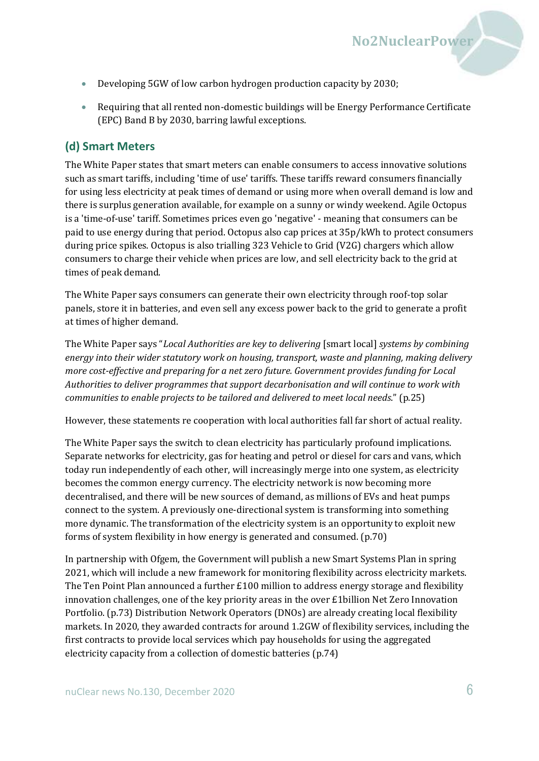

- Developing 5GW of low carbon hydrogen production capacity by 2030;
- Requiring that all rented non-domestic buildings will be Energy Performance Certificate (EPC) Band B by 2030, barring lawful exceptions.

#### **(d) Smart Meters**

The White Paper states that smart meters can enable consumers to access innovative solutions such as smart tariffs, including 'time of use' tariffs. These tariffs reward consumers financially for using less electricity at peak times of demand or using more when overall demand is low and there is surplus generation available, for example on a sunny or windy weekend. Agile Octopus is a 'time-of-use' tariff. Sometimes prices even go 'negative' - meaning that consumers can be paid to use energy during that period. Octopus also cap prices at 35p/kWh to protect consumers during price spikes. Octopus is also trialling 323 Vehicle to Grid (V2G) chargers which allow consumers to charge their vehicle when prices are low, and sell electricity back to the grid at times of peak demand.

The White Paper says consumers can generate their own electricity through roof-top solar panels, store it in batteries, and even sell any excess power back to the grid to generate a profit at times of higher demand.

The White Paper says "*Local Authorities are key to delivering* [smart local] *systems by combining energy into their wider statutory work on housing, transport, waste and planning, making delivery more cost-effective and preparing for a net zero future. Government provides funding for Local Authorities to deliver programmes that support decarbonisation and will continue to work with communities to enable projects to be tailored and delivered to meet local needs*." (p.25)

However, these statements re cooperation with local authorities fall far short of actual reality.

The White Paper says the switch to clean electricity has particularly profound implications. Separate networks for electricity, gas for heating and petrol or diesel for cars and vans, which today run independently of each other, will increasingly merge into one system, as electricity becomes the common energy currency. The electricity network is now becoming more decentralised, and there will be new sources of demand, as millions of EVs and heat pumps connect to the system. A previously one-directional system is transforming into something more dynamic. The transformation of the electricity system is an opportunity to exploit new forms of system flexibility in how energy is generated and consumed. (p.70)

In partnership with Ofgem, the Government will publish a new Smart Systems Plan in spring 2021, which will include a new framework for monitoring flexibility across electricity markets. The Ten Point Plan announced a further £100 million to address energy storage and flexibility innovation challenges, one of the key priority areas in the over £1billion Net Zero Innovation Portfolio. (p.73) Distribution Network Operators (DNOs) are already creating local flexibility markets. In 2020, they awarded contracts for around 1.2GW of flexibility services, including the first contracts to provide local services which pay households for using the aggregated electricity capacity from a collection of domestic batteries (p.74)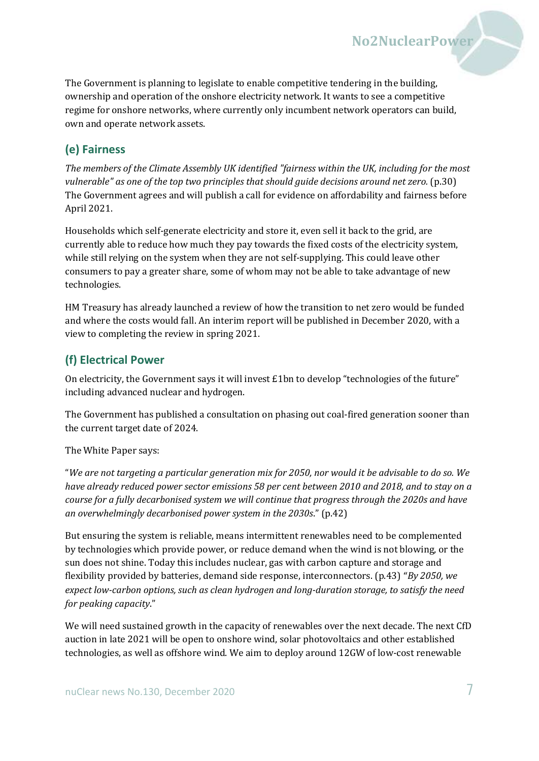The Government is planning to legislate to enable competitive tendering in the building, ownership and operation of the onshore electricity network. It wants to see a competitive regime for onshore networks, where currently only incumbent network operators can build, own and operate network assets.

**No2NuclearPower**

#### **(e) Fairness**

*The members of the Climate Assembly UK identified "fairness within the UK, including for the most vulnerable" as one of the top two principles that should guide decisions around net zero.* (p.30) The Government agrees and will publish a call for evidence on affordability and fairness before April 2021.

Households which self-generate electricity and store it, even sell it back to the grid, are currently able to reduce how much they pay towards the fixed costs of the electricity system, while still relying on the system when they are not self-supplying. This could leave other consumers to pay a greater share, some of whom may not be able to take advantage of new technologies.

HM Treasury has already launched a review of how the transition to net zero would be funded and where the costs would fall. An interim report will be published in December 2020, with a view to completing the review in spring 2021.

#### **(f) Electrical Power**

On electricity, the Government says it will invest £1bn to develop "technologies of the future" including advanced nuclear and hydrogen.

The Government has published a consultation on phasing out coal-fired generation sooner than the current target date of 2024.

The White Paper says:

"*We are not targeting a particular generation mix for 2050, nor would it be advisable to do so. We have already reduced power sector emissions 58 per cent between 2010 and 2018, and to stay on a course for a fully decarbonised system we will continue that progress through the 2020s and have an overwhelmingly decarbonised power system in the 2030s*." (p.42)

But ensuring the system is reliable, means intermittent renewables need to be complemented by technologies which provide power, or reduce demand when the wind is not blowing, or the sun does not shine. Today this includes nuclear, gas with carbon capture and storage and flexibility provided by batteries, demand side response, interconnectors. (p.43) "*By 2050, we expect low-carbon options, such as clean hydrogen and long-duration storage, to satisfy the need for peaking capacity*."

We will need sustained growth in the capacity of renewables over the next decade. The next CfD auction in late 2021 will be open to onshore wind, solar photovoltaics and other established technologies, as well as offshore wind. We aim to deploy around 12GW of low-cost renewable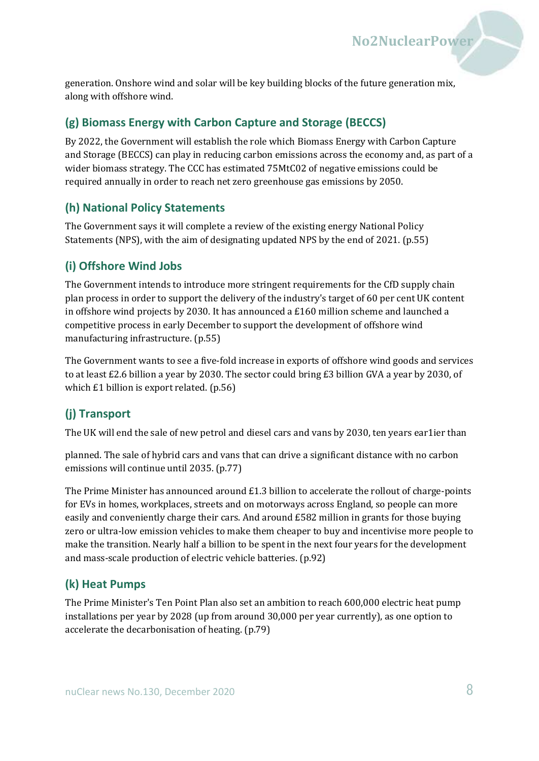generation. Onshore wind and solar will be key building blocks of the future generation mix, along with offshore wind.

#### **(g) Biomass Energy with Carbon Capture and Storage (BECCS)**

By 2022, the Government will establish the role which Biomass Energy with Carbon Capture and Storage (BECCS) can play in reducing carbon emissions across the economy and, as part of a wider biomass strategy. The CCC has estimated 75MtC02 of negative emissions could be required annually in order to reach net zero greenhouse gas emissions by 2050.

#### **(h) National Policy Statements**

The Government says it will complete a review of the existing energy National Policy Statements (NPS), with the aim of designating updated NPS by the end of 2021. (p.55)

#### **(i) Offshore Wind Jobs**

The Government intends to introduce more stringent requirements for the CfD supply chain plan process in order to support the delivery of the industry's target of 60 per cent UK content in offshore wind projects by 2030. It has announced a  $£160$  million scheme and launched a competitive process in early December to support the development of offshore wind manufacturing infrastructure. (p.55)

The Government wants to see a five-fold increase in exports of offshore wind goods and services to at least £2.6 billion a year by 2030. The sector could bring £3 billion GVA a year by 2030, of which £1 billion is export related. (p.56)

#### **(j) Transport**

The UK will end the sale of new petrol and diesel cars and vans by 2030, ten years ear1ier than

planned. The sale of hybrid cars and vans that can drive a significant distance with no carbon emissions will continue until 2035. (p.77)

The Prime Minister has announced around £1.3 billion to accelerate the rollout of charge-points for EVs in homes, workplaces, streets and on motorways across England, so people can more easily and conveniently charge their cars. And around £582 million in grants for those buying zero or ultra-low emission vehicles to make them cheaper to buy and incentivise more people to make the transition. Nearly half a billion to be spent in the next four years for the development and mass-scale production of electric vehicle batteries. (p.92)

#### **(k) Heat Pumps**

The Prime Minister's Ten Point Plan also set an ambition to reach 600,000 electric heat pump installations per year by 2028 (up from around 30,000 per year currently), as one option to accelerate the decarbonisation of heating. (p.79)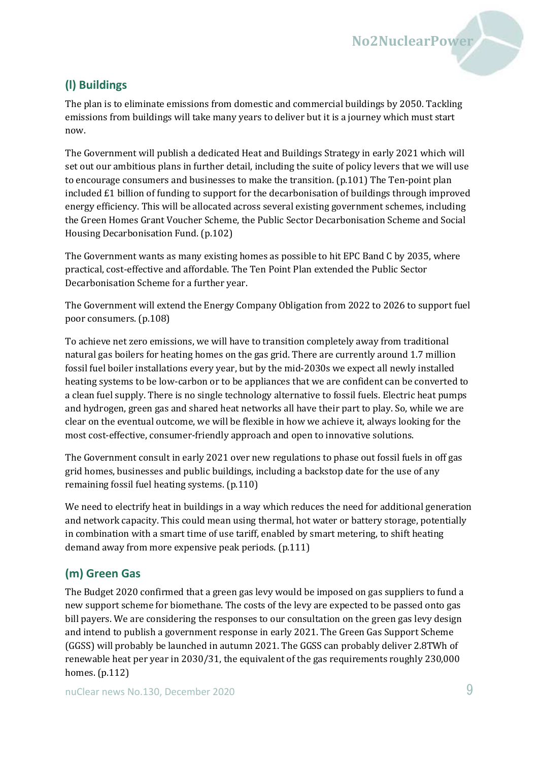### **(l) Buildings**

The plan is to eliminate emissions from domestic and commercial buildings by 2050. Tackling emissions from buildings will take many years to deliver but it is a journey which must start now.

The Government will publish a dedicated Heat and Buildings Strategy in early 2021 which will set out our ambitious plans in further detail, including the suite of policy levers that we will use to encourage consumers and businesses to make the transition. (p.101) The Ten-point plan included £1 billion of funding to support for the decarbonisation of buildings through improved energy efficiency. This will be allocated across several existing government schemes, including the Green Homes Grant Voucher Scheme, the Public Sector Decarbonisation Scheme and Social Housing Decarbonisation Fund. (p.102)

The Government wants as many existing homes as possible to hit EPC Band C by 2035, where practical, cost-effective and affordable. The Ten Point Plan extended the Public Sector Decarbonisation Scheme for a further year.

The Government will extend the Energy Company Obligation from 2022 to 2026 to support fuel poor consumers. (p.108)

To achieve net zero emissions, we will have to transition completely away from traditional natural gas boilers for heating homes on the gas grid. There are currently around 1.7 million fossil fuel boiler installations every year, but by the mid-2030s we expect all newly installed heating systems to be low-carbon or to be appliances that we are confident can be converted to a clean fuel supply. There is no single technology alternative to fossil fuels. Electric heat pumps and hydrogen, green gas and shared heat networks all have their part to play. So, while we are clear on the eventual outcome, we will be flexible in how we achieve it, always looking for the most cost-effective, consumer-friendly approach and open to innovative solutions.

The Government consult in early 2021 over new regulations to phase out fossil fuels in off gas grid homes, businesses and public buildings, including a backstop date for the use of any remaining fossil fuel heating systems. (p.110)

We need to electrify heat in buildings in a way which reduces the need for additional generation and network capacity. This could mean using thermal, hot water or battery storage, potentially in combination with a smart time of use tariff, enabled by smart metering, to shift heating demand away from more expensive peak periods. (p.111)

## **(m) Green Gas**

The Budget 2020 confirmed that a green gas levy would be imposed on gas suppliers to fund a new support scheme for biomethane. The costs of the levy are expected to be passed onto gas bill payers. We are considering the responses to our consultation on the green gas levy design and intend to publish a government response in early 2021. The Green Gas Support Scheme (GGSS) will probably be launched in autumn 2021. The GGSS can probably deliver 2.8TWh of renewable heat per year in 2030/31, the equivalent of the gas requirements roughly 230,000 homes. (p.112)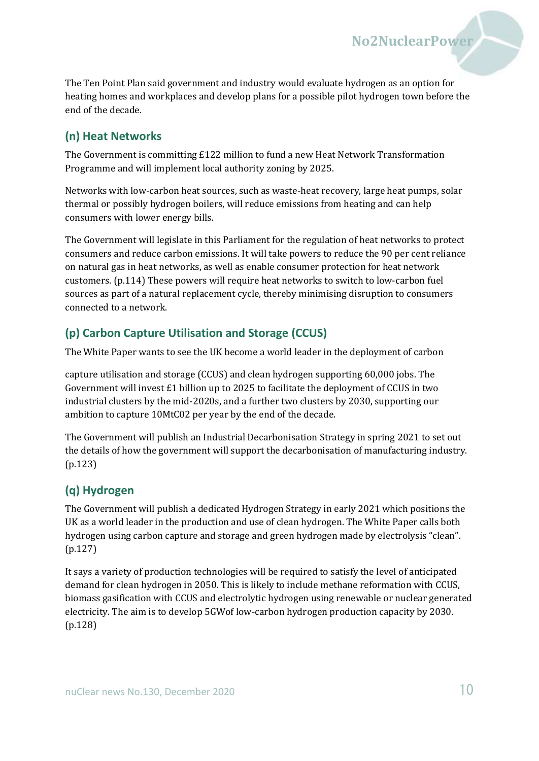The Ten Point Plan said government and industry would evaluate hydrogen as an option for heating homes and workplaces and develop plans for a possible pilot hydrogen town before the end of the decade.

**No2NuclearPower**

#### **(n) Heat Networks**

The Government is committing £122 million to fund a new Heat Network Transformation Programme and will implement local authority zoning by 2025.

Networks with low-carbon heat sources, such as waste-heat recovery, large heat pumps, solar thermal or possibly hydrogen boilers, will reduce emissions from heating and can help consumers with lower energy bills.

The Government will legislate in this Parliament for the regulation of heat networks to protect consumers and reduce carbon emissions. It will take powers to reduce the 90 per cent reliance on natural gas in heat networks, as well as enable consumer protection for heat network customers. (p.114) These powers will require heat networks to switch to low-carbon fuel sources as part of a natural replacement cycle, thereby minimising disruption to consumers connected to a network.

#### **(p) Carbon Capture Utilisation and Storage (CCUS)**

The White Paper wants to see the UK become a world leader in the deployment of carbon

capture utilisation and storage (CCUS) and clean hydrogen supporting 60,000 jobs. The Government will invest £1 billion up to 2025 to facilitate the deployment of CCUS in two industrial clusters by the mid-2020s, and a further two clusters by 2030, supporting our ambition to capture 10MtC02 per year by the end of the decade.

The Government will publish an Industrial Decarbonisation Strategy in spring 2021 to set out the details of how the government will support the decarbonisation of manufacturing industry. (p.123)

#### **(q) Hydrogen**

The Government will publish a dedicated Hydrogen Strategy in early 2021 which positions the UK as a world leader in the production and use of clean hydrogen. The White Paper calls both hydrogen using carbon capture and storage and green hydrogen made by electrolysis "clean". (p.127)

It says a variety of production technologies will be required to satisfy the level of anticipated demand for clean hydrogen in 2050. This is likely to include methane reformation with CCUS, biomass gasification with CCUS and electrolytic hydrogen using renewable or nuclear generated electricity. The aim is to develop 5GWof low-carbon hydrogen production capacity by 2030. (p.128)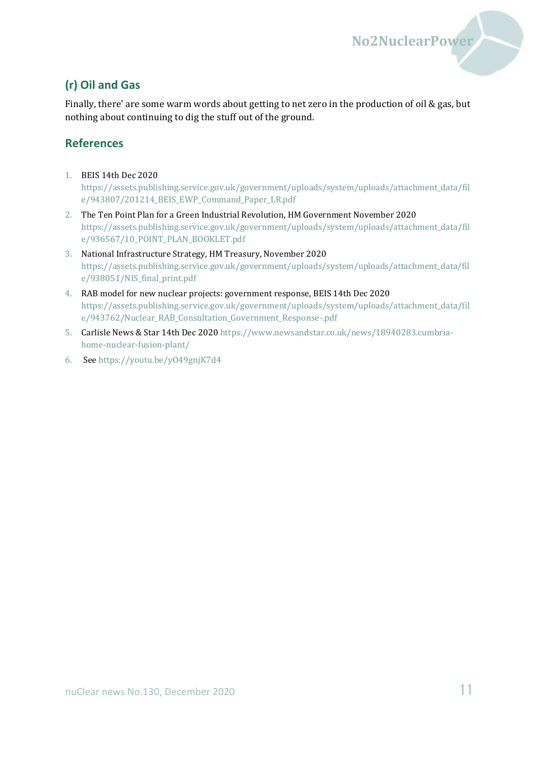#### **(r) Oil and Gas**

Finally, there' are some warm words about getting to net zero in the production of oil & gas, but nothing about continuing to dig the stuff out of the ground.

#### **References**

- 1. BEIS 14th Dec 2020 [https://assets.publishing.service.gov.uk/government/uploads/system/uploads/attachment\\_data/fil](https://assets.publishing.service.gov.uk/government/uploads/system/uploads/attachment_data/file/943807/201214_BEIS_EWP_Command_Paper_LR.pdf) [e/943807/201214\\_BEIS\\_EWP\\_Command\\_Paper\\_LR.pdf](https://assets.publishing.service.gov.uk/government/uploads/system/uploads/attachment_data/file/943807/201214_BEIS_EWP_Command_Paper_LR.pdf)
- 2. The Ten Point Plan for a Green Industrial Revolution, HM Government November 2020 [https://assets.publishing.service.gov.uk/government/uploads/system/uploads/attachment\\_data/fil](https://assets.publishing.service.gov.uk/government/uploads/system/uploads/attachment_data/file/936567/10_POINT_PLAN_BOOKLET.pdf) [e/936567/10\\_POINT\\_PLAN\\_BOOKLET.pdf](https://assets.publishing.service.gov.uk/government/uploads/system/uploads/attachment_data/file/936567/10_POINT_PLAN_BOOKLET.pdf)
- 3. National Infrastructure Strategy, HM Treasury, November 2020 [https://assets.publishing.service.gov.uk/government/uploads/system/uploads/attachment\\_data/fil](https://assets.publishing.service.gov.uk/government/uploads/system/uploads/attachment_data/file/938051/NIS_final_print.pdf) [e/938051/NIS\\_final\\_print.pdf](https://assets.publishing.service.gov.uk/government/uploads/system/uploads/attachment_data/file/938051/NIS_final_print.pdf)
- 4. RAB model for new nuclear projects: government response, BEIS 14th Dec 2020 [https://assets.publishing.service.gov.uk/government/uploads/system/uploads/attachment\\_data/fil](https://assets.publishing.service.gov.uk/government/uploads/system/uploads/attachment_data/file/943762/Nuclear_RAB_Consultation_Government_Response-.pdf) [e/943762/Nuclear\\_RAB\\_Consultation\\_Government\\_Response-.pdf](https://assets.publishing.service.gov.uk/government/uploads/system/uploads/attachment_data/file/943762/Nuclear_RAB_Consultation_Government_Response-.pdf)
- 5. Carlisle News & Star 14th Dec 202[0 https://www.newsandstar.co.uk/news/18940283.cumbria](https://www.newsandstar.co.uk/news/18940283.cumbria-home-nuclear-fusion-plant/)[home-nuclear-fusion-plant/](https://www.newsandstar.co.uk/news/18940283.cumbria-home-nuclear-fusion-plant/)
- 6. See<https://youtu.be/yO49gnjK7d4>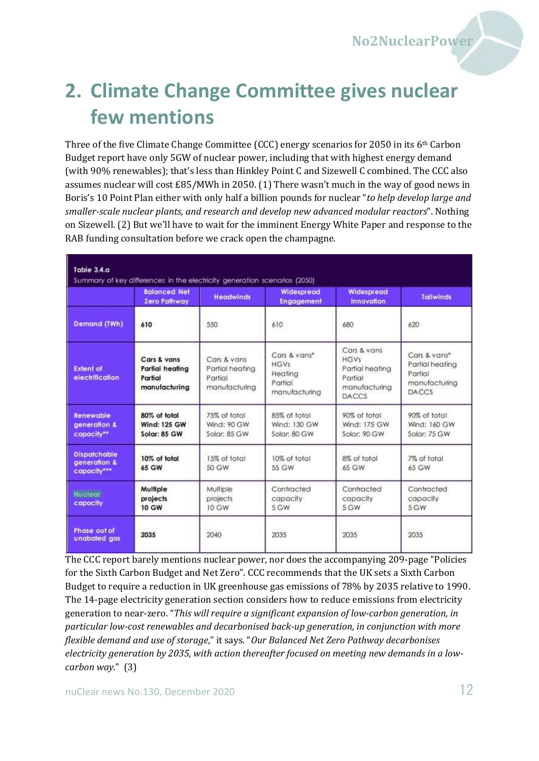# <span id="page-11-0"></span>**2. Climate Change Committee gives nuclear few mentions**

Three of the five Climate Change Committee (CCC) energy scenarios for 2050 in its 6th Carbon Budget report have only 5GW of nuclear power, including that with highest energy demand (with 90% renewables); that's less than Hinkley Point C and Sizewell C combined. The CCC also assumes nuclear will cost £85/MWh in 2050. (1) There wasn't much in the way of good news in Boris's 10 Point Plan either with only half a billion pounds for nuclear "*to help develop large and smaller-scale nuclear plants, and research and develop new advanced modular reactors*". Nothing on Sizewell. (2) But we'll have to wait for the imminent Energy White Paper and response to the RAB funding consultation before we crack open the champagne.

| Table 3.4.a<br>Summary of key differences in the electricity generation scenarios (2050) |                                                            |                                                            |                                                                    |                                                                                           |                                                                             |
|------------------------------------------------------------------------------------------|------------------------------------------------------------|------------------------------------------------------------|--------------------------------------------------------------------|-------------------------------------------------------------------------------------------|-----------------------------------------------------------------------------|
|                                                                                          | <b>Balanced Net</b><br><b>Zero Pathway</b>                 | <b>Headwinds</b>                                           | Widespread<br><b>Engagement</b>                                    | Widespread<br><b>Innovation</b>                                                           | <b>Tailwinds</b>                                                            |
| <b>Demand (TWh)</b>                                                                      | 610                                                        | 550                                                        | 610                                                                | 680                                                                                       | 620                                                                         |
| <b>Extent of</b><br>electrification                                                      | Cars & vans<br>Partial heating<br>Partial<br>manufacturing | Cars & vans<br>Partial heating<br>Partial<br>manufacturing | Cars & vans*<br><b>HGVs</b><br>Heating<br>Partial<br>manufacturing | Cars & vans<br><b>HGVs</b><br>Partial heating<br>Partial<br>manufacturing<br><b>DACCS</b> | Cars & vans*<br>Partial heating<br>Partial<br>manufacturing<br><b>DACCS</b> |
| <b>Renewable</b><br>generation &<br>capacity**                                           | 80% of total<br><b>Wind: 125 GW</b><br>Solar: 85 GW        | 75% of total<br><b>Wind: 90 GW</b><br>Solar: 85 GW         | 85% of total<br>Wind: 130 GW<br>Solar: 80 GW                       | 90% of total<br>Wind: 175 GW<br>Solar: 90 GW                                              | 90% of total<br>Wind: 160 GW<br>Solar: 75 GW                                |
| <b>Dispatchable</b><br>generation &<br>capacity***                                       | 10% of total<br>65 GW                                      | 15% of total<br>50 GW                                      | 10% of total<br>55 GW                                              | 8% of total<br>65 GW                                                                      | 7% of total<br>65 GW                                                        |
| <b>Nuclear</b><br>capacity                                                               | Mulfiple<br>projects<br><b>10 GW</b>                       | Multiple<br>projects<br>$10$ GW                            | Contracted<br>capacity<br>5 GW                                     | Contracted<br>capacity<br>5 GW                                                            | Contracted<br>capacity<br>5 GW                                              |
| Phase out of<br>unabated gas                                                             | 2035                                                       | 2040                                                       | 2035                                                               | 2035                                                                                      | 2035                                                                        |

The CCC report barely mentions nuclear power, nor does the accompanying 209-page "Policies for the Sixth Carbon Budget and Net Zero". CCC recommends that the UK sets a Sixth Carbon Budget to require a reduction in UK greenhouse gas emissions of 78% by 2035 relative to 1990. The 14-page electricity generation section considers how to reduce emissions from electricity generation to near-zero. "*This will require a significant expansion of low-carbon generation, in particular low-cost renewables and decarbonised back-up generation, in conjunction with more flexible demand and use of storage*," it says. "*Our Balanced Net Zero Pathway decarbonises electricity generation by 2035, with action thereafter focused on meeting new demands in a lowcarbon way*." (3)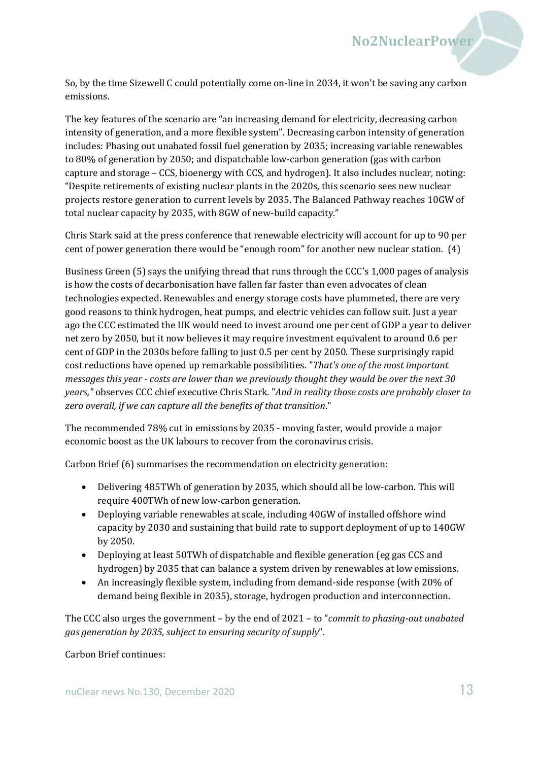So, by the time Sizewell C could potentially come on-line in 2034, it won't be saving any carbon emissions.

The key features of the scenario are "an increasing demand for electricity, decreasing carbon intensity of generation, and a more flexible system". Decreasing carbon intensity of generation includes: Phasing out unabated fossil fuel generation by 2035; increasing variable renewables to 80% of generation by 2050; and dispatchable low-carbon generation (gas with carbon capture and storage – CCS, bioenergy with CCS, and hydrogen). It also includes nuclear, noting: "Despite retirements of existing nuclear plants in the 2020s, this scenario sees new nuclear projects restore generation to current levels by 2035. The Balanced Pathway reaches 10GW of total nuclear capacity by 2035, with 8GW of new-build capacity."

Chris Stark said at the press conference that renewable electricity will account for up to 90 per cent of power generation there would be "enough room" for another new nuclear station. (4)

Business Green (5) says the unifying thread that runs through the CCC's 1,000 pages of analysis is how the costs of decarbonisation have fallen far faster than even advocates of clean technologies expected. Renewables and energy storage costs have plummeted, there are very good reasons to think hydrogen, heat pumps, and electric vehicles can follow suit. Just a year ago the CCC estimated the UK would need to invest around one per cent of GDP a year to deliver net zero by 2050, but it now believes it may require investment equivalent to around 0.6 per cent of GDP in the 2030s before falling to just 0.5 per cent by 2050. These surprisingly rapid cost reductions have opened up remarkable possibilities. "*That's one of the most important messages this year - costs are lower than we previously thought they would be over the next 30 years,"* observes CCC chief executive Chris Stark. "*And in reality those costs are probably closer to zero overall, if we can capture all the benefits of that transition*."

The recommended 78% cut in emissions by 2035 - moving faster, would provide a major economic boost as the UK labours to recover from the coronavirus crisis.

Carbon Brief (6) summarises the recommendation on electricity generation:

- Delivering 485TWh of generation by 2035, which should all be low-carbon. This will require 400TWh of new low-carbon generation.
- Deploying variable renewables at scale, including 40GW of installed offshore wind capacity by 2030 and sustaining that build rate to support deployment of up to 140GW by 2050.
- Deploying at least 50TWh of dispatchable and flexible generation (eg gas CCS and hydrogen) by 2035 that can balance a system driven by renewables at low emissions.
- An increasingly flexible system, including from demand-side response (with 20% of demand being flexible in 2035), storage, hydrogen production and interconnection.

The CCC also urges the government – by the end of 2021 – to "*commit to phasing-out unabated gas generation by 2035, subject to ensuring security of supply*".

#### Carbon Brief continues: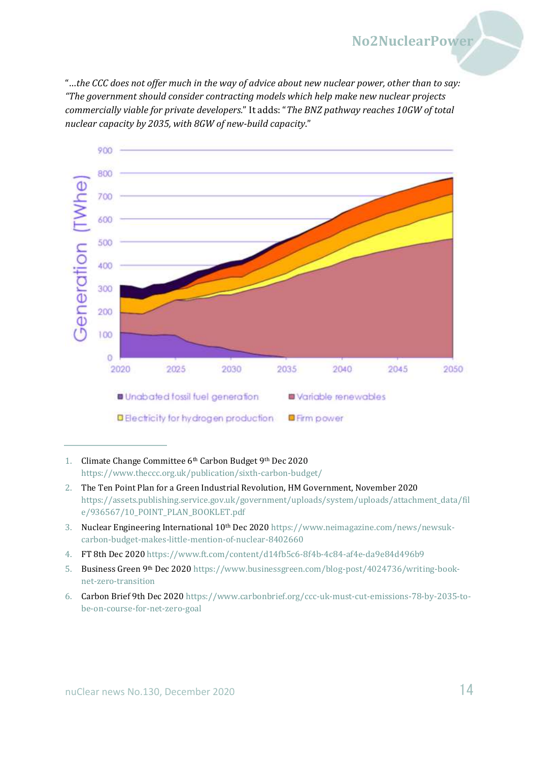"…*the CCC does not offer much in the way of advice about new nuclear power, other than to say: "The government should consider contracting models which help make new nuclear projects commercially viable for private developers.*" It adds: "*The BNZ pathway reaches 10GW of total nuclear capacity by 2035, with 8GW of new-build capacity*."



<sup>1.</sup> Climate Change Committee 6th Carbon Budget 9th Dec 2020 <https://www.theccc.org.uk/publication/sixth-carbon-budget/>

- 2. The Ten Point Plan for a Green Industrial Revolution, HM Government, November 2020 [https://assets.publishing.service.gov.uk/government/uploads/system/uploads/attachment\\_data/fil](https://assets.publishing.service.gov.uk/government/uploads/system/uploads/attachment_data/file/936567/10_POINT_PLAN_BOOKLET.pdf) [e/936567/10\\_POINT\\_PLAN\\_BOOKLET.pdf](https://assets.publishing.service.gov.uk/government/uploads/system/uploads/attachment_data/file/936567/10_POINT_PLAN_BOOKLET.pdf)
- 3. Nuclear Engineering International 10<sup>th</sup> Dec 202[0 https://www.neimagazine.com/news/newsuk](https://www.neimagazine.com/news/newsuk-carbon-budget-makes-little-mention-of-nuclear-8402660)[carbon-budget-makes-little-mention-of-nuclear-8402660](https://www.neimagazine.com/news/newsuk-carbon-budget-makes-little-mention-of-nuclear-8402660)
- 4. FT 8th Dec 202[0 https://www.ft.com/content/d14fb5c6-8f4b-4c84-af4e-da9e84d496b9](https://www.ft.com/content/d14fb5c6-8f4b-4c84-af4e-da9e84d496b9)
- 5. Business Green 9th Dec 202[0 https://www.businessgreen.com/blog-post/4024736/writing-book](https://www.businessgreen.com/blog-post/4024736/writing-book-net-zero-transition)[net-zero-transition](https://www.businessgreen.com/blog-post/4024736/writing-book-net-zero-transition)
- 6. Carbon Brief 9th Dec 202[0 https://www.carbonbrief.org/ccc-uk-must-cut-emissions-78-by-2035-to](https://www.carbonbrief.org/ccc-uk-must-cut-emissions-78-by-2035-to-be-on-course-for-net-zero-goal)[be-on-course-for-net-zero-goal](https://www.carbonbrief.org/ccc-uk-must-cut-emissions-78-by-2035-to-be-on-course-for-net-zero-goal)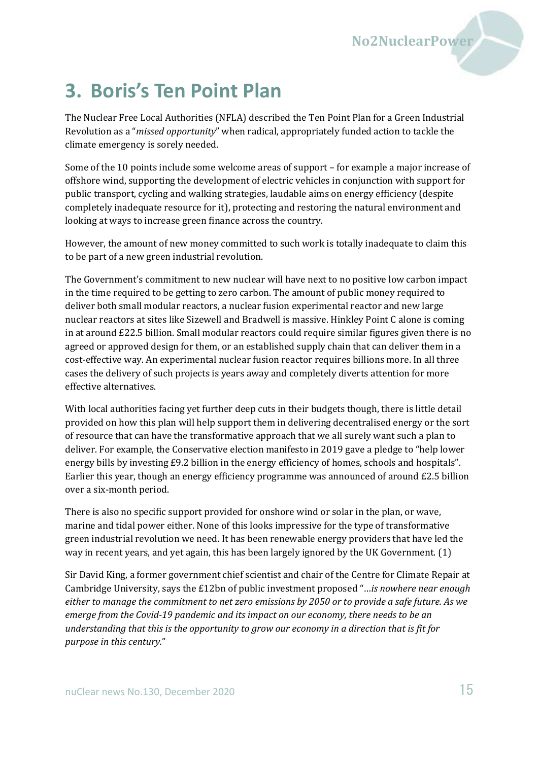## <span id="page-14-0"></span>**3. Boris's Ten Point Plan**

The Nuclear Free Local Authorities (NFLA) described the Ten Point Plan for a Green Industrial Revolution as a "*missed opportunity*" when radical, appropriately funded action to tackle the climate emergency is sorely needed.

Some of the 10 points include some welcome areas of support – for example a major increase of offshore wind, supporting the development of electric vehicles in conjunction with support for public transport, cycling and walking strategies, laudable aims on energy efficiency (despite completely inadequate resource for it), protecting and restoring the natural environment and looking at ways to increase green finance across the country.

However, the amount of new money committed to such work is totally inadequate to claim this to be part of a new green industrial revolution.

The Government's commitment to new nuclear will have next to no positive low carbon impact in the time required to be getting to zero carbon. The amount of public money required to deliver both small modular reactors, a nuclear fusion experimental reactor and new large nuclear reactors at sites like Sizewell and Bradwell is massive. Hinkley Point C alone is coming in at around £22.5 billion. Small modular reactors could require similar figures given there is no agreed or approved design for them, or an established supply chain that can deliver them in a cost-effective way. An experimental nuclear fusion reactor requires billions more. In all three cases the delivery of such projects is years away and completely diverts attention for more effective alternatives.

With local authorities facing yet further deep cuts in their budgets though, there is little detail provided on how this plan will help support them in delivering decentralised energy or the sort of resource that can have the transformative approach that we all surely want such a plan to deliver. For example, the Conservative election manifesto in 2019 gave a pledge to "help lower energy bills by investing £9.2 billion in the energy efficiency of homes, schools and hospitals". Earlier this year, though an energy efficiency programme was announced of around £2.5 billion over a six-month period.

There is also no specific support provided for onshore wind or solar in the plan, or wave, marine and tidal power either. None of this looks impressive for the type of transformative green industrial revolution we need. It has been renewable energy providers that have led the way in recent years, and yet again, this has been largely ignored by the UK Government. (1)

Sir David King, a former government chief scientist and chair of the Centre for Climate Repair at Cambridge University, says the £12bn of public investment proposed "…*is nowhere near enough either to manage the commitment to net zero emissions by 2050 or to provide a safe future. As we emerge from the Covid-19 pandemic and its impact on our economy, there needs to be an understanding that this is the opportunity to grow our economy in a direction that is fit for purpose in this century.*"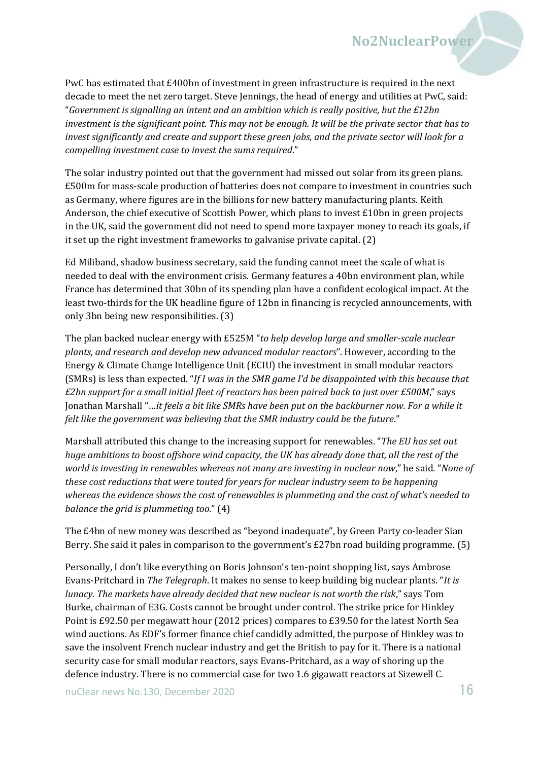PwC has estimated that £400bn of investment in green infrastructure is required in the next decade to meet the net zero target. Steve Jennings, the head of energy and utilities at PwC, said: "*Government is signalling an intent and an ambition which is really positive, but the £12bn investment is the significant point. This may not be enough. It will be the private sector that has to invest significantly and create and support these green jobs, and the private sector will look for a compelling investment case to invest the sums required*."

The solar industry pointed out that the government had missed out solar from its green plans. £500m for mass-scale production of batteries does not compare to investment in countries such as Germany, where figures are in the billions for new battery manufacturing plants. Keith Anderson, the chief executive of Scottish Power, which plans to invest £10bn in green projects in the UK, said the government did not need to spend more taxpayer money to reach its goals, if it set up the right investment frameworks to galvanise private capital. (2)

Ed Miliband, shadow business secretary, said the funding cannot meet the scale of what is needed to deal with the environment crisis. Germany features a 40bn environment plan, while France has determined that 30bn of its spending plan have a confident ecological impact. At the least two-thirds for the UK headline figure of 12bn in financing is recycled announcements, with only 3bn being new responsibilities. (3)

The plan backed nuclear energy with £525M "*to help develop large and smaller-scale nuclear plants, and research and develop new advanced modular reactors*". However, according to the Energy & Climate Change Intelligence Unit (ECIU) the investment in small modular reactors (SMRs) is less than expected. "*If I was in the SMR game I'd be disappointed with this because that £2bn support for a small initial fleet of reactors has been paired back to just over £500M*," says Jonathan Marshall "…*it feels a bit like SMRs have been put on the backburner now. For a while it felt like the government was believing that the SMR industry could be the future*."

Marshall attributed this change to the increasing support for renewables. "*The EU has set out huge ambitions to boost offshore wind capacity, the UK has already done that, all the rest of the world is investing in renewables whereas not many are investing in nuclear now*," he said. "*None of these cost reductions that were touted for years for nuclear industry seem to be happening whereas the evidence shows the cost of renewables is plummeting and the cost of what's needed to balance the grid is plummeting too*." (4)

The £4bn of new money was described as "beyond inadequate", by Green Party co-leader Sian Berry. She said it pales in comparison to the government's £27bn road building programme. (5)

Personally, I don't like everything on Boris Johnson's ten-point shopping list, says Ambrose Evans-Pritchard in *The Telegraph*. It makes no sense to keep building big nuclear plants. "*It is lunacy. The markets have already decided that new nuclear is not worth the risk*," says Tom Burke, chairman of E3G. Costs cannot be brought under control. The strike price for Hinkley Point is £92.50 per megawatt hour (2012 prices) compares to £39.50 for the latest North Sea wind auctions. As EDF's former finance chief candidly admitted, the purpose of Hinkley was to save the insolvent French nuclear industry and get the British to pay for it. There is a national security case for small modular reactors, says Evans-Pritchard, as a way of shoring up the defence industry. There is no commercial case for two 1.6 gigawatt reactors at Sizewell C.

nuClear news No.130, December 2020  $16$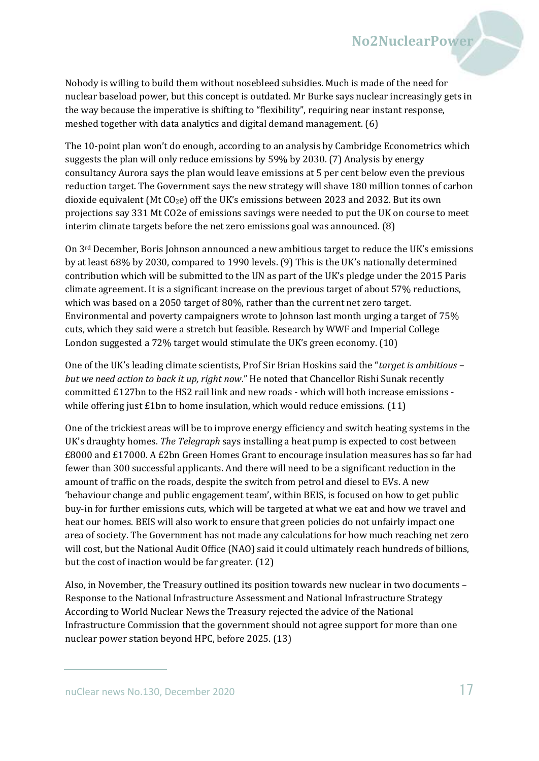Nobody is willing to build them without nosebleed subsidies. Much is made of the need for nuclear baseload power, but this concept is outdated. Mr Burke says nuclear increasingly gets in the way because the imperative is shifting to "flexibility", requiring near instant response, meshed together with data analytics and digital demand management. (6)

The 10-point plan won't do enough, according to an analysis by Cambridge Econometrics which suggests the plan will only reduce emissions by 59% by 2030. (7) Analysis by energy consultancy Aurora says the plan would leave emissions at 5 per cent below even the previous reduction target. The Government says the new strategy will shave 180 million tonnes of carbon dioxide equivalent (Mt  $CO<sub>2</sub>e$ ) off the UK's emissions between 2023 and 2032. But its own projections say 331 Mt CO2e of emissions savings were needed to put the UK on course to meet interim climate targets before the net zero emissions goal was announced. (8)

On 3<sup>rd</sup> December, Boris Johnson announced a new ambitious target to reduce the UK's emissions by at least 68% by 2030, compared to 1990 levels. (9) This is the UK's nationally determined contribution which will be submitted to the UN as part of the UK's pledge under the 2015 Paris climate agreement. It is a significant increase on the previous target of about 57% reductions, which was based on a 2050 target of 80%, rather than the current net zero target. Environmental and poverty campaigners wrote to Johnson last month urging a target of 75% cuts, which they said were a stretch but feasible. Research by WWF and Imperial College London suggested a 72% target would stimulate the UK's green economy. (10)

One of the UK's leading climate scientists, Prof Sir Brian Hoskins said the "*target is ambitious – but we need action to back it up, right now*." He noted that Chancellor Rishi Sunak recently committed £127bn to the HS2 rail link and new roads - which will both increase emissions while offering just  $E1$ bn to home insulation, which would reduce emissions. (11)

One of the trickiest areas will be to improve energy efficiency and switch heating systems in the UK's draughty homes. *The Telegraph* says installing a heat pump is expected to cost between £8000 and £17000. A £2bn Green Homes Grant to encourage insulation measures has so far had fewer than 300 successful applicants. And there will need to be a significant reduction in the amount of traffic on the roads, despite the switch from petrol and diesel to EVs. A new 'behaviour change and public engagement team', within BEIS, is focused on how to get public buy-in for further emissions cuts, which will be targeted at what we eat and how we travel and heat our homes. BEIS will also work to ensure that green policies do not unfairly impact one area of society. The Government has not made any calculations for how much reaching net zero will cost, but the National Audit Office (NAO) said it could ultimately reach hundreds of billions, but the cost of inaction would be far greater. (12)

Also, in November, the Treasury outlined its position towards new nuclear in two documents – Response to the National Infrastructure Assessment and National Infrastructure Strategy According to World Nuclear News the Treasury rejected the advice of the National Infrastructure Commission that the government should not agree support for more than one nuclear power station beyond HPC, before 2025. (13)

nuClear news No.130, December 2020 17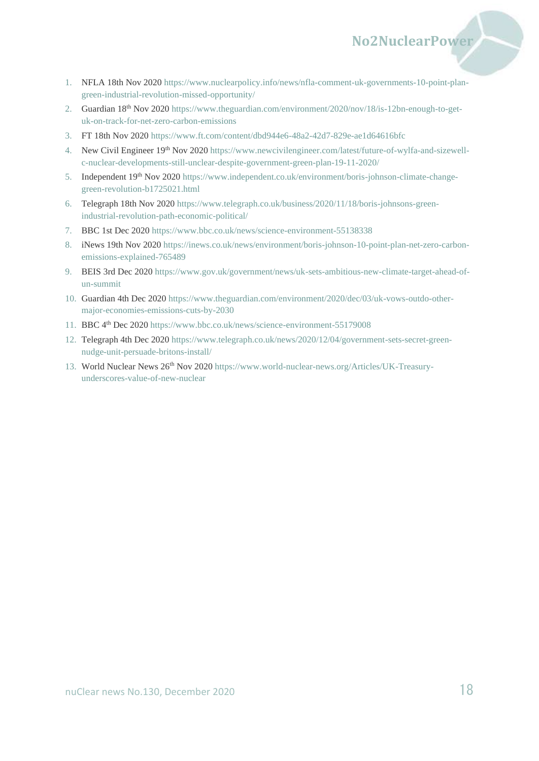1. NFLA 18th Nov 2020 [https://www.nuclearpolicy.info/news/nfla-comment-uk-governments-10-point-plan](https://www.nuclearpolicy.info/news/nfla-comment-uk-governments-10-point-plan-green-industrial-revolution-missed-opportunity/)[green-industrial-revolution-missed-opportunity/](https://www.nuclearpolicy.info/news/nfla-comment-uk-governments-10-point-plan-green-industrial-revolution-missed-opportunity/)

**No2NuclearPower**

- 2. Guardian 18th Nov 202[0 https://www.theguardian.com/environment/2020/nov/18/is-12bn-enough-to-get](https://www.theguardian.com/environment/2020/nov/18/is-12bn-enough-to-get-uk-on-track-for-net-zero-carbon-emissions)[uk-on-track-for-net-zero-carbon-emissions](https://www.theguardian.com/environment/2020/nov/18/is-12bn-enough-to-get-uk-on-track-for-net-zero-carbon-emissions)
- 3. FT 18th Nov 202[0 https://www.ft.com/content/dbd944e6-48a2-42d7-829e-ae1d64616bfc](https://www.ft.com/content/dbd944e6-48a2-42d7-829e-ae1d64616bfc)
- 4. New Civil Engineer 19th Nov 2020 [https://www.newcivilengineer.com/latest/future-of-wylfa-and-sizewell](https://www.newcivilengineer.com/latest/future-of-wylfa-and-sizewell-c-nuclear-developments-still-unclear-despite-government-green-plan-19-11-2020/)[c-nuclear-developments-still-unclear-despite-government-green-plan-19-11-2020/](https://www.newcivilengineer.com/latest/future-of-wylfa-and-sizewell-c-nuclear-developments-still-unclear-despite-government-green-plan-19-11-2020/)
- 5. Independent 19th Nov 202[0 https://www.independent.co.uk/environment/boris-johnson-climate-change](https://www.independent.co.uk/environment/boris-johnson-climate-change-green-revolution-b1725021.html)[green-revolution-b1725021.html](https://www.independent.co.uk/environment/boris-johnson-climate-change-green-revolution-b1725021.html)
- 6. Telegraph 18th Nov 202[0 https://www.telegraph.co.uk/business/2020/11/18/boris-johnsons-green](https://www.telegraph.co.uk/business/2020/11/18/boris-johnsons-green-industrial-revolution-path-economic-political/)[industrial-revolution-path-economic-political/](https://www.telegraph.co.uk/business/2020/11/18/boris-johnsons-green-industrial-revolution-path-economic-political/)
- 7. BBC 1st Dec 2020<https://www.bbc.co.uk/news/science-environment-55138338>
- 8. iNews 19th Nov 202[0 https://inews.co.uk/news/environment/boris-johnson-10-point-plan-net-zero-carbon](https://inews.co.uk/news/environment/boris-johnson-10-point-plan-net-zero-carbon-emissions-explained-765489)[emissions-explained-765489](https://inews.co.uk/news/environment/boris-johnson-10-point-plan-net-zero-carbon-emissions-explained-765489)
- 9. BEIS 3rd Dec 2020 [https://www.gov.uk/government/news/uk-sets-ambitious-new-climate-target-ahead-of](https://www.gov.uk/government/news/uk-sets-ambitious-new-climate-target-ahead-of-un-summit)[un-summit](https://www.gov.uk/government/news/uk-sets-ambitious-new-climate-target-ahead-of-un-summit)
- 10. Guardian 4th Dec 2020 [https://www.theguardian.com/environment/2020/dec/03/uk-vows-outdo-other](https://www.theguardian.com/environment/2020/dec/03/uk-vows-outdo-other-major-economies-emissions-cuts-by-2030)[major-economies-emissions-cuts-by-2030](https://www.theguardian.com/environment/2020/dec/03/uk-vows-outdo-other-major-economies-emissions-cuts-by-2030)
- 11. BBC 4th Dec 2020<https://www.bbc.co.uk/news/science-environment-55179008>
- 12. Telegraph 4th Dec 2020 [https://www.telegraph.co.uk/news/2020/12/04/government-sets-secret-green](https://www.telegraph.co.uk/news/2020/12/04/government-sets-secret-green-nudge-unit-persuade-britons-install/)[nudge-unit-persuade-britons-install/](https://www.telegraph.co.uk/news/2020/12/04/government-sets-secret-green-nudge-unit-persuade-britons-install/)
- 13. World Nuclear News 26<sup>th</sup> Nov 2020 [https://www.world-nuclear-news.org/Articles/UK-Treasury](https://www.world-nuclear-news.org/Articles/UK-Treasury-underscores-value-of-new-nuclear)[underscores-value-of-new-nuclear](https://www.world-nuclear-news.org/Articles/UK-Treasury-underscores-value-of-new-nuclear)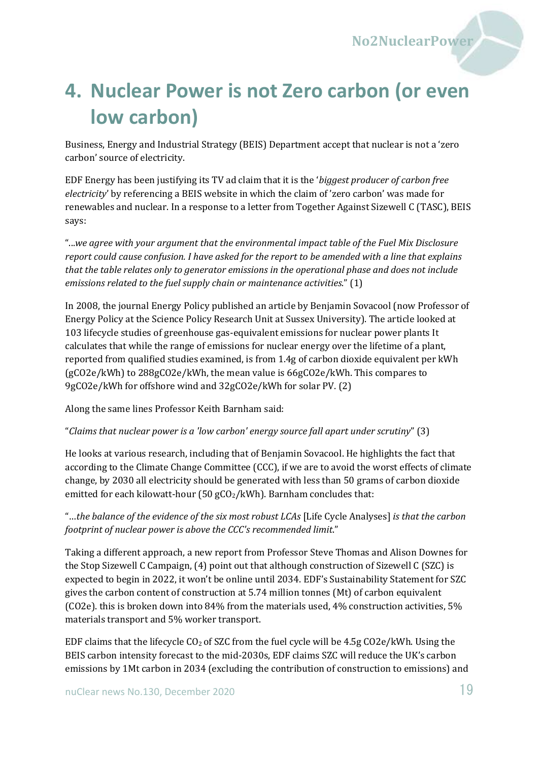## <span id="page-18-0"></span>**4. Nuclear Power is not Zero carbon (or even low carbon)**

Business, Energy and Industrial Strategy (BEIS) Department accept that nuclear is not a 'zero carbon' source of electricity.

EDF Energy has been justifying its TV ad claim that it is the '*biggest producer of carbon free electricity*' by referencing a BEIS website in which the claim of 'zero carbon' was made for renewables and nuclear. In a response to a letter from Together Against Sizewell C (TASC), BEIS says:

"...*we agree with your argument that the environmental impact table of the Fuel Mix Disclosure report could cause confusion. I have asked for the report to be amended with a line that explains that the table relates only to generator emissions in the operational phase and does not include emissions related to the fuel supply chain or maintenance activities*." (1)

In 2008, the journal Energy Policy published an article by Benjamin Sovacool (now Professor of Energy Policy at the Science Policy Research Unit at Sussex University). The article looked at 103 lifecycle studies of greenhouse gas-equivalent emissions for nuclear power plants It calculates that while the range of emissions for nuclear energy over the lifetime of a plant, reported from qualified studies examined, is from 1.4g of carbon dioxide equivalent per kWh (gCO2e/kWh) to 288gCO2e/kWh, the mean value is 66gCO2e/kWh. This compares to 9gCO2e/kWh for offshore wind and 32gCO2e/kWh for solar PV. (2)

Along the same lines Professor Keith Barnham said:

"*Claims that nuclear power is a 'low carbon' energy source fall apart under scrutiny*" (3)

He looks at various research, including that of Benjamin Sovacool. He highlights the fact that according to the Climate Change Committee (CCC), if we are to avoid the worst effects of climate change, by 2030 all electricity should be generated with less than 50 grams of carbon dioxide emitted for each kilowatt-hour (50  $gCO<sub>2</sub>/kWh$ ). Barnham concludes that:

"…*the balance of the evidence of the six most robust LCAs* [Life Cycle Analyses] *is that the carbon footprint of nuclear power is above the CCC's recommended limit*."

Taking a different approach, a new report from Professor Steve Thomas and Alison Downes for the Stop Sizewell C Campaign, (4) point out that although construction of Sizewell C (SZC) is expected to begin in 2022, it won't be online until 2034. EDF's Sustainability Statement for SZC gives the carbon content of construction at 5.74 million tonnes (Mt) of carbon equivalent (CO2e). this is broken down into 84% from the materials used, 4% construction activities, 5% materials transport and 5% worker transport.

EDF claims that the lifecycle  $CO<sub>2</sub>$  of SZC from the fuel cycle will be 4.5g  $CO<sub>2</sub>e/kWh$ . Using the BEIS carbon intensity forecast to the mid-2030s, EDF claims SZC will reduce the UK's carbon emissions by 1Mt carbon in 2034 (excluding the contribution of construction to emissions) and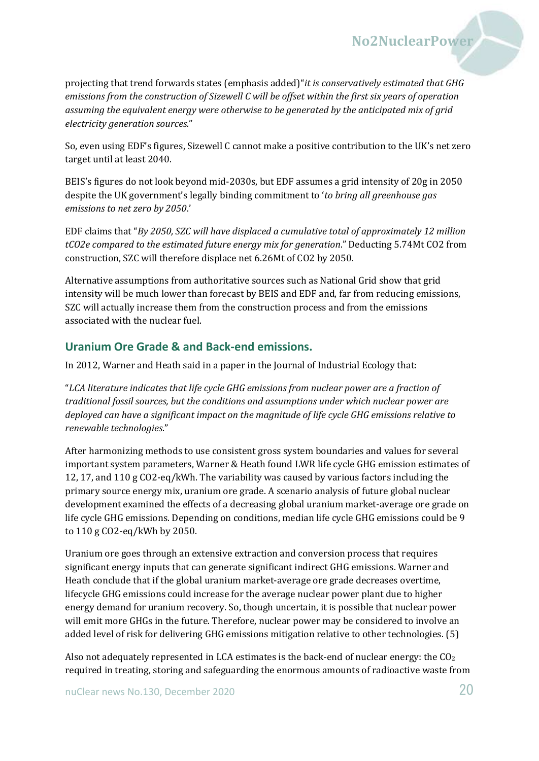projecting that trend forwards states (emphasis added)"*it is conservatively estimated that GHG emissions from the construction of Sizewell C will be offset within the first six years of operation assuming the equivalent energy were otherwise to be generated by the anticipated mix of grid electricity generation sources.*"

**No2NuclearPower**

So, even using EDF's figures, Sizewell C cannot make a positive contribution to the UK's net zero target until at least 2040.

BEIS's figures do not look beyond mid-2030s, but EDF assumes a grid intensity of 20g in 2050 despite the UK government's legally binding commitment to '*to bring all greenhouse gas emissions to net zero by 2050*.'

EDF claims that "*By 2050, SZC will have displaced a cumulative total of approximately 12 million tCO2e compared to the estimated future energy mix for generation*." Deducting 5.74Mt CO2 from construction, SZC will therefore displace net 6.26Mt of CO2 by 2050.

Alternative assumptions from authoritative sources such as National Grid show that grid intensity will be much lower than forecast by BEIS and EDF and, far from reducing emissions, SZC will actually increase them from the construction process and from the emissions associated with the nuclear fuel.

#### **Uranium Ore Grade & and Back-end emissions.**

In 2012, Warner and Heath said in a paper in the Journal of Industrial Ecology that:

"*LCA literature indicates that life cycle GHG emissions from nuclear power are a fraction of traditional fossil sources, but the conditions and assumptions under which nuclear power are deployed can have a significant impact on the magnitude of life cycle GHG emissions relative to renewable technologies*."

After harmonizing methods to use consistent gross system boundaries and values for several important system parameters, Warner & Heath found LWR life cycle GHG emission estimates of 12, 17, and 110 g CO2-eq/kWh. The variability was caused by various factors including the primary source energy mix, uranium ore grade. A scenario analysis of future global nuclear development examined the effects of a decreasing global uranium market-average ore grade on life cycle GHG emissions. Depending on conditions, median life cycle GHG emissions could be 9 to 110 g CO2-eq/kWh by 2050.

Uranium ore goes through an extensive extraction and conversion process that requires significant energy inputs that can generate significant indirect GHG emissions. Warner and Heath conclude that if the global uranium market-average ore grade decreases overtime, lifecycle GHG emissions could increase for the average nuclear power plant due to higher energy demand for uranium recovery. So, though uncertain, it is possible that nuclear power will emit more GHGs in the future. Therefore, nuclear power may be considered to involve an added level of risk for delivering GHG emissions mitigation relative to other technologies. (5)

Also not adequately represented in LCA estimates is the back-end of nuclear energy: the  $CO<sub>2</sub>$ required in treating, storing and safeguarding the enormous amounts of radioactive waste from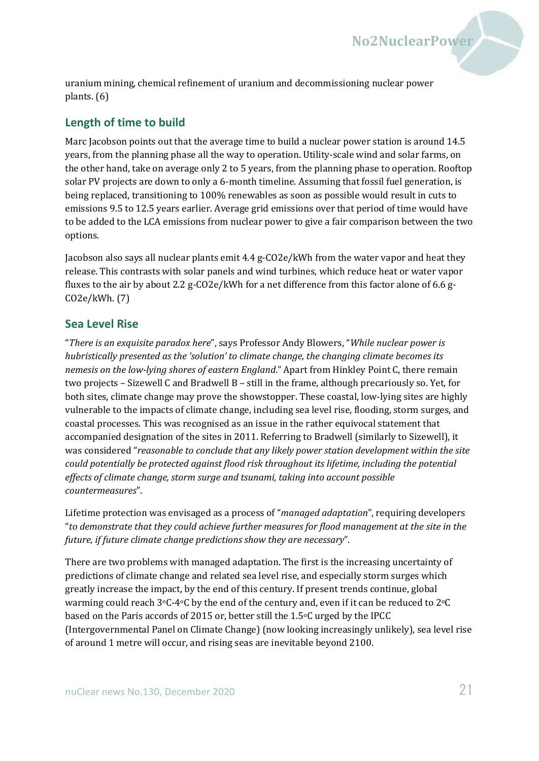uranium mining, chemical refinement of uranium and decommissioning nuclear power plants. (6)

#### **Length of time to build**

Marc Jacobson points out that the average time to build a nuclear power station is around 14.5 years, from the planning phase all the way to operation. Utility-scale wind and solar farms, on the other hand, take on average only 2 to 5 years, from the planning phase to operation. Rooftop solar PV projects are down to only a 6-month timeline. Assuming that fossil fuel generation, is being replaced, transitioning to 100% renewables as soon as possible would result in cuts to emissions 9.5 to 12.5 years earlier. Average grid emissions over that period of time would have to be added to the LCA emissions from nuclear power to give a fair comparison between the two options.

**No2NuclearPower**

Jacobson also says all nuclear plants emit 4.4 g-CO2e/kWh from the water vapor and heat they release. This contrasts with solar panels and wind turbines, which reduce heat or water vapor fluxes to the air by about 2.2 g-CO2e/kWh for a net difference from this factor alone of 6.6 g-CO2e/kWh. (7)

#### **Sea Level Rise**

"*There is an exquisite paradox here*", says Professor Andy Blowers, "*While nuclear power is hubristically presented as the 'solution' to climate change, the changing climate becomes its nemesis on the low-lying shores of eastern England*." Apart from Hinkley Point C, there remain two projects – Sizewell C and Bradwell B – still in the frame, although precariously so. Yet, for both sites, climate change may prove the showstopper. These coastal, low-lying sites are highly vulnerable to the impacts of climate change, including sea level rise, flooding, storm surges, and coastal processes. This was recognised as an issue in the rather equivocal statement that accompanied designation of the sites in 2011. Referring to Bradwell (similarly to Sizewell), it was considered "*reasonable to conclude that any likely power station development within the site could potentially be protected against flood risk throughout its lifetime, including the potential effects of climate change, storm surge and tsunami, taking into account possible countermeasures*".

Lifetime protection was envisaged as a process of "*managed adaptation*", requiring developers "*to demonstrate that they could achieve further measures for flood management at the site in the future, if future climate change predictions show they are necessary*".

There are two problems with managed adaptation. The first is the increasing uncertainty of predictions of climate change and related sea level rise, and especially storm surges which greatly increase the impact, by the end of this century. If present trends continue, global warming could reach  $3^{\circ}C$ -4 $\circ$ C by the end of the century and, even if it can be reduced to  $2^{\circ}C$ based on the Paris accords of 2015 or, better still the  $1.5\degree$ C urged by the IPCC (Intergovernmental Panel on Climate Change) (now looking increasingly unlikely), sea level rise of around 1 metre will occur, and rising seas are inevitable beyond 2100.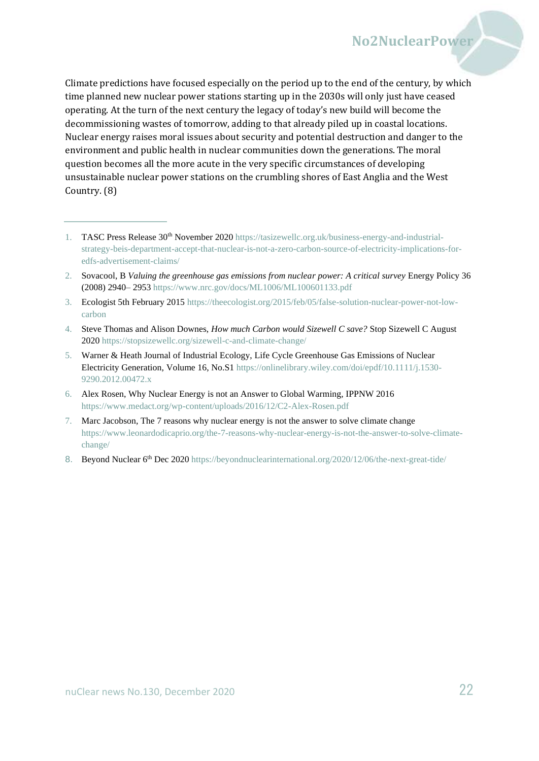Climate predictions have focused especially on the period up to the end of the century, by which time planned new nuclear power stations starting up in the 2030s will only just have ceased operating. At the turn of the next century the legacy of today's new build will become the decommissioning wastes of tomorrow, adding to that already piled up in coastal locations. Nuclear energy raises moral issues about security and potential destruction and danger to the environment and public health in nuclear communities down the generations. The moral question becomes all the more acute in the very specific circumstances of developing unsustainable nuclear power stations on the crumbling shores of East Anglia and the West Country. (8)

- 3. Ecologist 5th February 201[5 https://theecologist.org/2015/feb/05/false-solution-nuclear-power-not-low](https://theecologist.org/2015/feb/05/false-solution-nuclear-power-not-low-carbon)[carbon](https://theecologist.org/2015/feb/05/false-solution-nuclear-power-not-low-carbon)
- 4. Steve Thomas and Alison Downes, *How much Carbon would Sizewell C save?* Stop Sizewell C August 202[0 https://stopsizewellc.org/sizewell-c-and-climate-change/](https://stopsizewellc.org/sizewell-c-and-climate-change/)
- 5. Warner & Heath Journal of Industrial Ecology, Life Cycle Greenhouse Gas Emissions of Nuclear Electricity Generation, Volume 16, No.S1 [https://onlinelibrary.wiley.com/doi/epdf/10.1111/j.1530-](https://onlinelibrary.wiley.com/doi/epdf/10.1111/j.1530-9290.2012.00472.x) [9290.2012.00472.x](https://onlinelibrary.wiley.com/doi/epdf/10.1111/j.1530-9290.2012.00472.x)
- 6. Alex Rosen, Why Nuclear Energy is not an Answer to Global Warming, IPPNW 2016 <https://www.medact.org/wp-content/uploads/2016/12/C2-Alex-Rosen.pdf>
- 7. Marc Jacobson, The 7 reasons why nuclear energy is not the answer to solve climate change [https://www.leonardodicaprio.org/the-7-reasons-why-nuclear-energy-is-not-the-answer-to-solve-climate](https://www.leonardodicaprio.org/the-7-reasons-why-nuclear-energy-is-not-the-answer-to-solve-climate-change/)[change/](https://www.leonardodicaprio.org/the-7-reasons-why-nuclear-energy-is-not-the-answer-to-solve-climate-change/)
- 8. Beyond Nuclear 6<sup>th</sup> Dec 2020<https://beyondnuclearinternational.org/2020/12/06/the-next-great-tide/>

<sup>1.</sup> TASC Press Release 30<sup>th</sup> November 2020 [https://tasizewellc.org.uk/business-energy-and-industrial](https://tasizewellc.org.uk/business-energy-and-industrial-strategy-beis-department-accept-that-nuclear-is-not-a-zero-carbon-source-of-electricity-implications-for-edfs-advertisement-claims/)[strategy-beis-department-accept-that-nuclear-is-not-a-zero-carbon-source-of-electricity-implications-for](https://tasizewellc.org.uk/business-energy-and-industrial-strategy-beis-department-accept-that-nuclear-is-not-a-zero-carbon-source-of-electricity-implications-for-edfs-advertisement-claims/)[edfs-advertisement-claims/](https://tasizewellc.org.uk/business-energy-and-industrial-strategy-beis-department-accept-that-nuclear-is-not-a-zero-carbon-source-of-electricity-implications-for-edfs-advertisement-claims/)

<sup>2.</sup> Sovacool, B *Valuing the greenhouse gas emissions from nuclear power: A critical survey* Energy Policy 36 (2008) 2940– 2953<https://www.nrc.gov/docs/ML1006/ML100601133.pdf>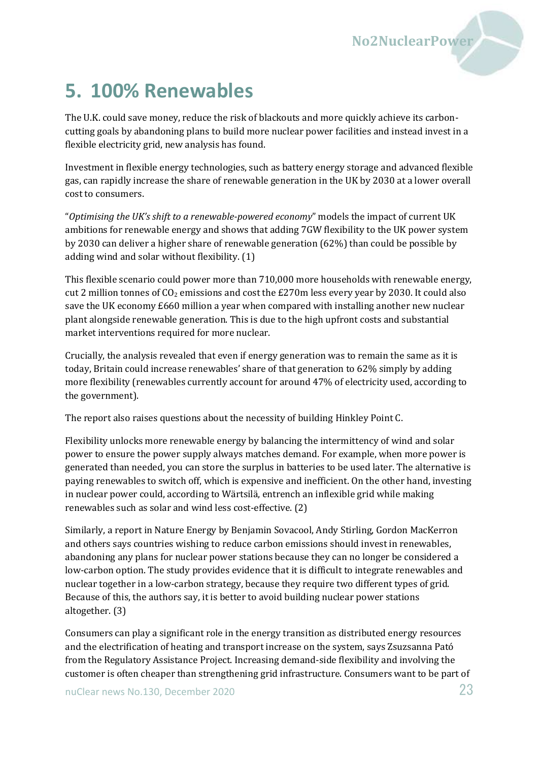

## <span id="page-22-0"></span>**5. 100% Renewables**

The U.K. could save money, reduce the risk of blackouts and more quickly achieve its carboncutting goals by abandoning plans to build more nuclear power facilities and instead invest in a flexible electricity grid, new analysis has found.

Investment in flexible energy technologies, such as battery energy storage and advanced flexible gas, can rapidly increase the share of renewable generation in the UK by 2030 at a lower overall cost to consumers.

"*Optimising the UK's shift to a renewable-powered economy*" models the impact of current UK ambitions for renewable energy and shows that adding 7GW flexibility to the UK power system by 2030 can deliver a higher share of renewable generation (62%) than could be possible by adding wind and solar without flexibility. (1)

This flexible scenario could power more than 710,000 more households with renewable energy, cut 2 million tonnes of  $CO<sub>2</sub>$  emissions and cost the £270m less every year by 2030. It could also save the UK economy £660 million a year when compared with installing another new nuclear plant alongside renewable generation. This is due to the high upfront costs and substantial market interventions required for more nuclear.

Crucially, the analysis revealed that even if energy generation was to remain the same as it is today, Britain could increase renewables' share of that generation to 62% simply by adding more flexibility (renewables currently account for around 47% of electricity used, according to the government).

The report also raises questions about the necessity of building Hinkley Point C.

Flexibility unlocks more renewable energy by balancing the intermittency of wind and solar power to ensure the power supply always matches demand. For example, when more power is generated than needed, you can store the surplus in batteries to be used later. The alternative is paying renewables to switch off, which is expensive and inefficient. On the other hand, investing in nuclear power could, according to Wärtsilä, entrench an inflexible grid while making renewables such as solar and wind less cost-effective. (2)

Similarly, a report in Nature Energy by Benjamin Sovacool, Andy Stirling, Gordon MacKerron and others says countries wishing to reduce carbon emissions should invest in renewables, abandoning any plans for nuclear power stations because they can no longer be considered a low-carbon option. The study provides evidence that it is difficult to integrate renewables and nuclear together in a low-carbon strategy, because they require two different types of grid. Because of this, the authors say, it is better to avoid building nuclear power stations altogether. (3)

Consumers can play a significant role in the energy transition as distributed energy resources and the electrification of heating and transport increase on the system, says Zsuzsanna Pató from the Regulatory Assistance Project. Increasing demand-side flexibility and involving the customer is often cheaper than strengthening grid infrastructure. Consumers want to be part of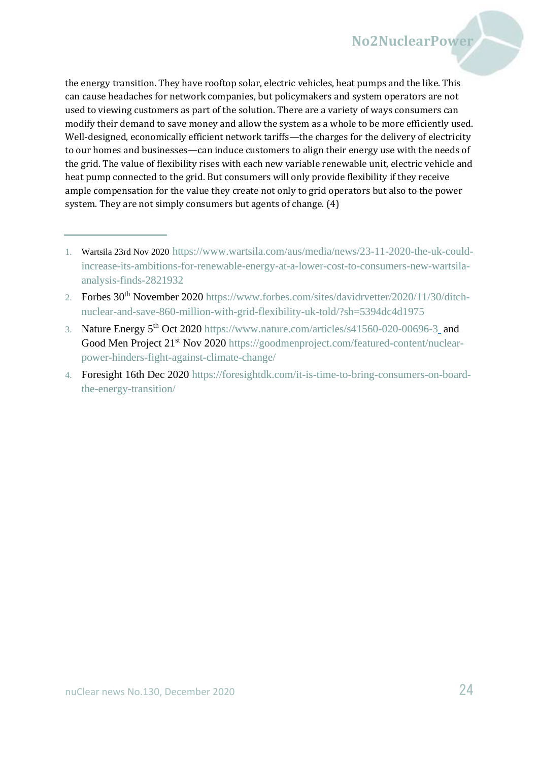the energy transition. They have rooftop solar, electric vehicles, heat pumps and the like. This can cause headaches for network companies, but policymakers and system operators are not used to viewing customers as part of the solution. There are a variety of ways consumers can modify their demand to save money and allow the system as a whole to be more efficiently used. Well-designed, economically efficient network tariffs—the charges for the delivery of electricity to our homes and businesses—can induce customers to align their energy use with the needs of the grid. The value of flexibility rises with each new variable renewable unit, electric vehicle and heat pump connected to the grid. But consumers will only provide flexibility if they receive ample compensation for the value they create not only to grid operators but also to the power system. They are not simply consumers but agents of change. (4)

3. Nature Energy 5th Oct 2020<https://www.nature.com/articles/s41560-020-00696-3> and Good Men Project 21<sup>st</sup> Nov 2020 [https://goodmenproject.com/featured-content/nuclear](https://goodmenproject.com/featured-content/nuclear-power-hinders-fight-against-climate-change/)[power-hinders-fight-against-climate-change/](https://goodmenproject.com/featured-content/nuclear-power-hinders-fight-against-climate-change/)

<sup>1.</sup> Wartsila 23rd Nov 2020 [https://www.wartsila.com/aus/media/news/23-11-2020-the-uk-could](https://www.wartsila.com/aus/media/news/23-11-2020-the-uk-could-increase-its-ambitions-for-renewable-energy-at-a-lower-cost-to-consumers-new-wartsila-analysis-finds-2821932)[increase-its-ambitions-for-renewable-energy-at-a-lower-cost-to-consumers-new-wartsila](https://www.wartsila.com/aus/media/news/23-11-2020-the-uk-could-increase-its-ambitions-for-renewable-energy-at-a-lower-cost-to-consumers-new-wartsila-analysis-finds-2821932)[analysis-finds-2821932](https://www.wartsila.com/aus/media/news/23-11-2020-the-uk-could-increase-its-ambitions-for-renewable-energy-at-a-lower-cost-to-consumers-new-wartsila-analysis-finds-2821932)

<sup>2.</sup> Forbes 30th November 2020 [https://www.forbes.com/sites/davidrvetter/2020/11/30/ditch](https://www.forbes.com/sites/davidrvetter/2020/11/30/ditch-nuclear-and-save-860-million-with-grid-flexibility-uk-told/?sh=5394dc4d1975)[nuclear-and-save-860-million-with-grid-flexibility-uk-told/?sh=5394dc4d1975](https://www.forbes.com/sites/davidrvetter/2020/11/30/ditch-nuclear-and-save-860-million-with-grid-flexibility-uk-told/?sh=5394dc4d1975)

<sup>4.</sup> Foresight 16th Dec 2020 [https://foresightdk.com/it-is-time-to-bring-consumers-on-board](https://foresightdk.com/it-is-time-to-bring-consumers-on-board-the-energy-transition/)[the-energy-transition/](https://foresightdk.com/it-is-time-to-bring-consumers-on-board-the-energy-transition/)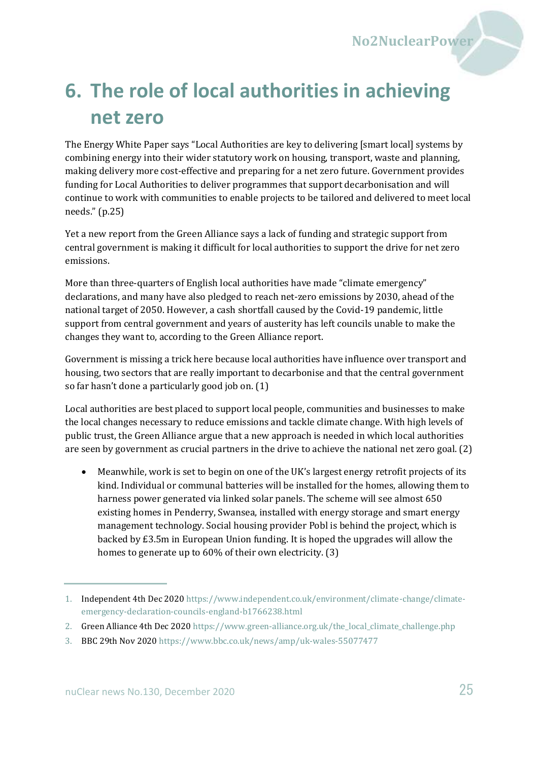

# <span id="page-24-0"></span>**6. The role of local authorities in achieving net zero**

The Energy White Paper says "Local Authorities are key to delivering [smart local] systems by combining energy into their wider statutory work on housing, transport, waste and planning, making delivery more cost-effective and preparing for a net zero future. Government provides funding for Local Authorities to deliver programmes that support decarbonisation and will continue to work with communities to enable projects to be tailored and delivered to meet local needs." (p.25)

Yet a new report from the Green Alliance says a lack of funding and strategic support from central government is making it difficult for local authorities to support the drive for net zero emissions.

More than three-quarters of English local authorities have made "climate emergency" declarations, and many have also pledged to reach net-zero emissions by 2030, ahead of the national target of 2050. However, a cash shortfall caused by the Covid-19 pandemic, little support from central government and years of austerity has left councils unable to make the changes they want to, according to the Green Alliance report.

Government is missing a trick here because local authorities have influence over transport and housing, two sectors that are really important to decarbonise and that the central government so far hasn't done a particularly good job on. (1)

Local authorities are best placed to support local people, communities and businesses to make the local changes necessary to reduce emissions and tackle climate change. With high levels of public trust, the Green Alliance argue that a new approach is needed in which local authorities are seen by government as crucial partners in the drive to achieve the national net zero goal. (2)

• Meanwhile, work is set to begin on one of the UK's largest energy retrofit projects of its kind. Individual or communal batteries will be installed for the homes, allowing them to harness power generated via linked solar panels. The scheme will see almost 650 existing homes in Penderry, Swansea, installed with energy storage and smart energy management technology. Social housing provider Pobl is behind the project, which is backed by £3.5m in European Union funding. It is hoped the upgrades will allow the homes to generate up to 60% of their own electricity. (3)

<sup>1.</sup> Independent 4th Dec 2020 [https://www.independent.co.uk/environment/climate-change/climate](https://www.independent.co.uk/environment/climate-change/climate-emergency-declaration-councils-england-b1766238.html)[emergency-declaration-councils-england-b1766238.html](https://www.independent.co.uk/environment/climate-change/climate-emergency-declaration-councils-england-b1766238.html)

<sup>2.</sup> Green Alliance 4th Dec 2020 [https://www.green-alliance.org.uk/the\\_local\\_climate\\_challenge.php](https://www.green-alliance.org.uk/the_local_climate_challenge.php)

<sup>3.</sup> BBC 29th Nov 2020<https://www.bbc.co.uk/news/amp/uk-wales-55077477>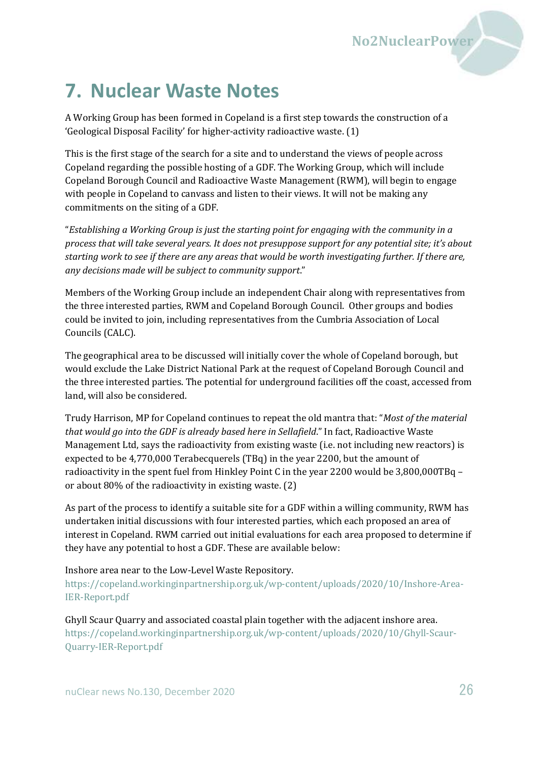## <span id="page-25-0"></span>**7. Nuclear Waste Notes**

A Working Group has been formed in Copeland is a first step towards the construction of a 'Geological Disposal Facility' for higher-activity radioactive waste. (1)

This is the first stage of the search for a site and to understand the views of people across Copeland regarding the possible hosting of a GDF. The Working Group, which will include Copeland Borough Council and Radioactive Waste Management (RWM), will begin to engage with people in Copeland to canvass and listen to their views. It will not be making any commitments on the siting of a GDF.

"*Establishing a Working Group is just the starting point for engaging with the community in a process that will take several years. It does not presuppose support for any potential site; it's about starting work to see if there are any areas that would be worth investigating further. If there are, any decisions made will be subject to community support*."

Members of the Working Group include an independent Chair along with representatives from the three interested parties, RWM and Copeland Borough Council. Other groups and bodies could be invited to join, including representatives from the Cumbria Association of Local Councils (CALC).

The geographical area to be discussed will initially cover the whole of Copeland borough, but would exclude the Lake District National Park at the request of Copeland Borough Council and the three interested parties. The potential for underground facilities off the coast, accessed from land, will also be considered.

Trudy Harrison, MP for Copeland continues to repeat the old mantra that: "*Most of the material that would go into the GDF is already based here in Sellafield*." In fact, Radioactive Waste Management Ltd, says the radioactivity from existing waste (i.e. not including new reactors) is expected to be 4,770,000 Terabecquerels (TBq) in the year 2200, but the amount of radioactivity in the spent fuel from Hinkley Point C in the year 2200 would be 3,800,000TBq – or about 80% of the radioactivity in existing waste. (2)

As part of the process to identify a suitable site for a GDF within a willing community, RWM has undertaken initial discussions with four interested parties, which each proposed an area of interest in Copeland. RWM carried out initial evaluations for each area proposed to determine if they have any potential to host a GDF. These are available below:

Inshore area near to the Low-Level Waste Repository.

[https://copeland.workinginpartnership.org.uk/wp-content/uploads/2020/10/Inshore-Area-](https://copeland.workinginpartnership.org.uk/wp-content/uploads/2020/10/Inshore-Area-IER-Report.pdf)[IER-Report.pdf](https://copeland.workinginpartnership.org.uk/wp-content/uploads/2020/10/Inshore-Area-IER-Report.pdf)

Ghyll Scaur Quarry and associated coastal plain together with the adjacent inshore area. [https://copeland.workinginpartnership.org.uk/wp-content/uploads/2020/10/Ghyll-Scaur-](https://copeland.workinginpartnership.org.uk/wp-content/uploads/2020/10/Ghyll-Scaur-Quarry-IER-Report.pdf)[Quarry-IER-Report.pdf](https://copeland.workinginpartnership.org.uk/wp-content/uploads/2020/10/Ghyll-Scaur-Quarry-IER-Report.pdf)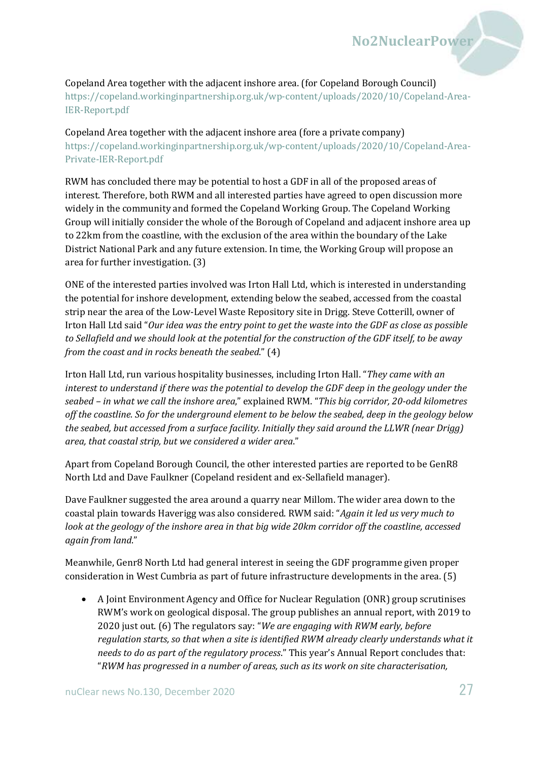Copeland Area together with the adjacent inshore area. (for Copeland Borough Council) [https://copeland.workinginpartnership.org.uk/wp-content/uploads/2020/10/Copeland-Area-](https://copeland.workinginpartnership.org.uk/wp-content/uploads/2020/10/Copeland-Area-IER-Report.pdf)[IER-Report.pdf](https://copeland.workinginpartnership.org.uk/wp-content/uploads/2020/10/Copeland-Area-IER-Report.pdf)

Copeland Area together with the adjacent inshore area (fore a private company) [https://copeland.workinginpartnership.org.uk/wp-content/uploads/2020/10/Copeland-Area-](https://copeland.workinginpartnership.org.uk/wp-content/uploads/2020/10/Copeland-Area-Private-IER-Report.pdf)[Private-IER-Report.pdf](https://copeland.workinginpartnership.org.uk/wp-content/uploads/2020/10/Copeland-Area-Private-IER-Report.pdf)

RWM has concluded there may be potential to host a GDF in all of the proposed areas of interest. Therefore, both RWM and all interested parties have agreed to open discussion more widely in the community and formed the Copeland Working Group. The Copeland Working Group will initially consider the whole of the Borough of Copeland and adjacent inshore area up to 22km from the coastline, with the exclusion of the area within the boundary of the Lake District National Park and any future extension. In time, the Working Group will propose an area for further investigation. (3)

ONE of the interested parties involved was Irton Hall Ltd, which is interested in understanding the potential for inshore development, extending below the seabed, accessed from the coastal strip near the area of the Low-Level Waste Repository site in Drigg. Steve Cotterill, owner of Irton Hall Ltd said "*Our idea was the entry point to get the waste into the GDF as close as possible to Sellafield and we should look at the potential for the construction of the GDF itself, to be away from the coast and in rocks beneath the seabed*." (4)

Irton Hall Ltd, run various hospitality businesses, including Irton Hall. "*They came with an interest to understand if there was the potential to develop the GDF deep in the geology under the seabed – in what we call the inshore area*," explained RWM. "*This big corridor, 20-odd kilometres off the coastline. So for the underground element to be below the seabed, deep in the geology below the seabed, but accessed from a surface facility. Initially they said around the LLWR (near Drigg) area, that coastal strip, but we considered a wider area*."

Apart from Copeland Borough Council, the other interested parties are reported to be GenR8 North Ltd and Dave Faulkner (Copeland resident and ex-Sellafield manager).

Dave Faulkner suggested the area around a quarry near Millom. The wider area down to the coastal plain towards Haverigg was also considered. RWM said: "*Again it led us very much to look at the geology of the inshore area in that big wide 20km corridor off the coastline, accessed again from land*."

Meanwhile, Genr8 North Ltd had general interest in seeing the GDF programme given proper consideration in West Cumbria as part of future infrastructure developments in the area. (5)

• A Joint Environment Agency and Office for Nuclear Regulation (ONR) group scrutinises RWM's work on geological disposal. The group publishes an annual report, with 2019 to 2020 just out. (6) The regulators say: "*We are engaging with RWM early, before regulation starts, so that when a site is identified RWM already clearly understands what it needs to do as part of the regulatory process*." This year's Annual Report concludes that: "*RWM has progressed in a number of areas, such as its work on site characterisation,*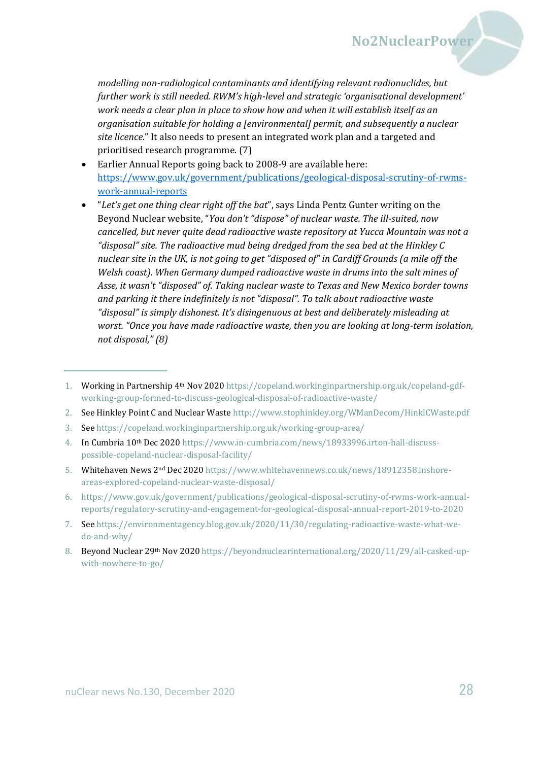*modelling non-radiological contaminants and identifying relevant radionuclides, but further work is still needed. RWM's high-level and strategic 'organisational development' work needs a clear plan in place to show how and when it will establish itself as an organisation suitable for holding a [environmental] permit, and subsequently a nuclear site licence*." It also needs to present an integrated work plan and a targeted and prioritised research programme. (7)

- Earlier Annual Reports going back to 2008-9 are available here: [https://www.gov.uk/government/publications/geological-disposal-scrutiny-of-rwms](https://www.gov.uk/government/publications/geological-disposal-scrutiny-of-rwms-work-annual-reports)[work-annual-reports](https://www.gov.uk/government/publications/geological-disposal-scrutiny-of-rwms-work-annual-reports)
- "*Let's get one thing clear right off the bat*", says Linda Pentz Gunter writing on the Beyond Nuclear website, "*You don't "dispose" of nuclear waste. The ill-suited, now cancelled, but never quite dead radioactive waste repository at Yucca Mountain was not a "disposal" site. The radioactive mud being dredged from the sea bed at the Hinkley C nuclear site in the UK, is not going to get "disposed of" in Cardiff Grounds (a mile off the Welsh coast). When Germany dumped radioactive waste in drums into the salt mines of Asse, it wasn't "disposed" of. Taking nuclear waste to Texas and New Mexico border towns and parking it there indefinitely is not "disposal". To talk about radioactive waste "disposal" is simply dishonest. It's disingenuous at best and deliberately misleading at worst. "Once you have made radioactive waste, then you are looking at long-term isolation, not disposal," (8)*

- 2. See Hinkley Point C and Nuclear Wast[e http://www.stophinkley.org/WManDecom/HinklCWaste.pdf](http://www.stophinkley.org/WManDecom/HinklCWaste.pdf)
- 3. See<https://copeland.workinginpartnership.org.uk/working-group-area/>

- 5. Whitehaven News 2nd Dec 202[0 https://www.whitehavennews.co.uk/news/18912358.inshore](https://www.whitehavennews.co.uk/news/18912358.inshore-areas-explored-copeland-nuclear-waste-disposal/)[areas-explored-copeland-nuclear-waste-disposal/](https://www.whitehavennews.co.uk/news/18912358.inshore-areas-explored-copeland-nuclear-waste-disposal/)
- 6. [https://www.gov.uk/government/publications/geological-disposal-scrutiny-of-rwms-work-annual](https://www.gov.uk/government/publications/geological-disposal-scrutiny-of-rwms-work-annual-reports/regulatory-scrutiny-and-engagement-for-geological-disposal-annual-report-2019-to-2020)[reports/regulatory-scrutiny-and-engagement-for-geological-disposal-annual-report-2019-to-2020](https://www.gov.uk/government/publications/geological-disposal-scrutiny-of-rwms-work-annual-reports/regulatory-scrutiny-and-engagement-for-geological-disposal-annual-report-2019-to-2020)
- 7. See [https://environmentagency.blog.gov.uk/2020/11/30/regulating-radioactive-waste-what-we](https://environmentagency.blog.gov.uk/2020/11/30/regulating-radioactive-waste-what-we-do-and-why/)[do-and-why/](https://environmentagency.blog.gov.uk/2020/11/30/regulating-radioactive-waste-what-we-do-and-why/)
- 8. Beyond Nuclear 29<sup>th</sup> Nov 2020 [https://beyondnuclearinternational.org/2020/11/29/all-casked-up](https://beyondnuclearinternational.org/2020/11/29/all-casked-up-with-nowhere-to-go/)[with-nowhere-to-go/](https://beyondnuclearinternational.org/2020/11/29/all-casked-up-with-nowhere-to-go/)

<sup>1.</sup> Working in Partnership 4th Nov 2020 [https://copeland.workinginpartnership.org.uk/copeland-gdf](https://copeland.workinginpartnership.org.uk/copeland-gdf-working-group-formed-to-discuss-geological-disposal-of-radioactive-waste/)[working-group-formed-to-discuss-geological-disposal-of-radioactive-waste/](https://copeland.workinginpartnership.org.uk/copeland-gdf-working-group-formed-to-discuss-geological-disposal-of-radioactive-waste/)

<sup>4.</sup> In Cumbria 10<sup>th</sup> Dec 202[0 https://www.in-cumbria.com/news/18933996.irton-hall-discuss](https://www.in-cumbria.com/news/18933996.irton-hall-discuss-possible-copeland-nuclear-disposal-facility/)[possible-copeland-nuclear-disposal-facility/](https://www.in-cumbria.com/news/18933996.irton-hall-discuss-possible-copeland-nuclear-disposal-facility/)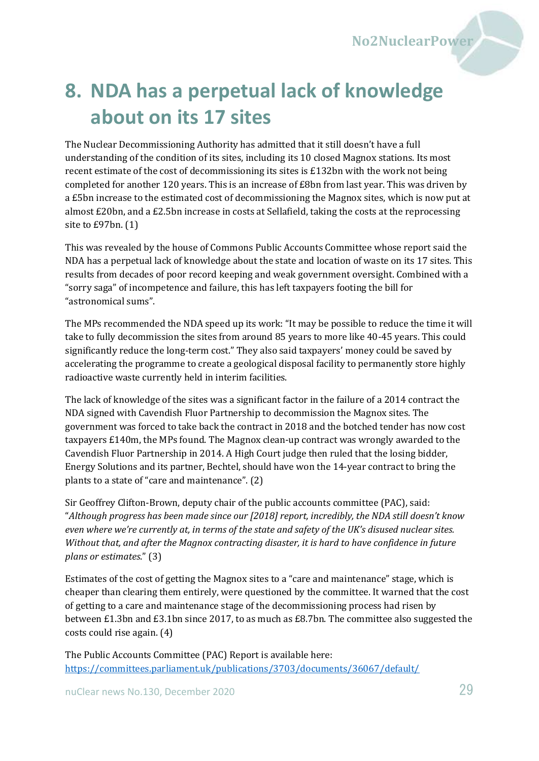

# <span id="page-28-0"></span>**8. NDA has a perpetual lack of knowledge about on its 17 sites**

The Nuclear Decommissioning Authority has admitted that it still doesn't have a full understanding of the condition of its sites, including its 10 closed Magnox stations. Its most recent estimate of the cost of decommissioning its sites is £132bn with the work not being completed for another 120 years. This is an increase of £8bn from last year. This was driven by a £5bn increase to the estimated cost of decommissioning the Magnox sites, which is now put at almost £20bn, and a £2.5bn increase in costs at Sellafield, taking the costs at the reprocessing site to £97bn. (1)

This was revealed by the house of Commons Public Accounts Committee whose report said the NDA has a perpetual lack of knowledge about the state and location of waste on its 17 sites. This results from decades of poor record keeping and weak government oversight. Combined with a "sorry saga" of incompetence and failure, this has left taxpayers footing the bill for "astronomical sums".

The MPs recommended the NDA speed up its work: "It may be possible to reduce the time it will take to fully decommission the sites from around 85 years to more like 40-45 years. This could significantly reduce the long-term cost." They also said taxpayers' money could be saved by accelerating the programme to create a geological disposal facility to permanently store highly radioactive waste currently held in interim facilities.

The lack of knowledge of the sites was a significant factor in the failure of a 2014 contract the NDA signed with Cavendish Fluor Partnership to decommission the Magnox sites. The government was forced to take back the contract in 2018 and the botched tender has now cost taxpayers £140m, the MPs found. The Magnox clean-up contract was wrongly awarded to the Cavendish Fluor Partnership in 2014. A High Court judge then ruled that the losing bidder, Energy Solutions and its partner, Bechtel, should have won the 14-year contract to bring the plants to a state of "care and maintenance". (2)

Sir Geoffrey Clifton-Brown, deputy chair of the public accounts committee (PAC), said: "*Although progress has been made since our [2018] report, incredibly, the NDA still doesn't know even where we're currently at, in terms of the state and safety of the UK's disused nuclear sites. Without that, and after the Magnox contracting disaster, it is hard to have confidence in future plans or estimates*." (3)

Estimates of the cost of getting the Magnox sites to a "care and maintenance" stage, which is cheaper than clearing them entirely, were questioned by the committee. It warned that the cost of getting to a care and maintenance stage of the decommissioning process had risen by between £1.3bn and £3.1bn since 2017, to as much as £8.7bn. The committee also suggested the costs could rise again. (4)

The Public Accounts Committee (PAC) Report is available here: <https://committees.parliament.uk/publications/3703/documents/36067/default/>